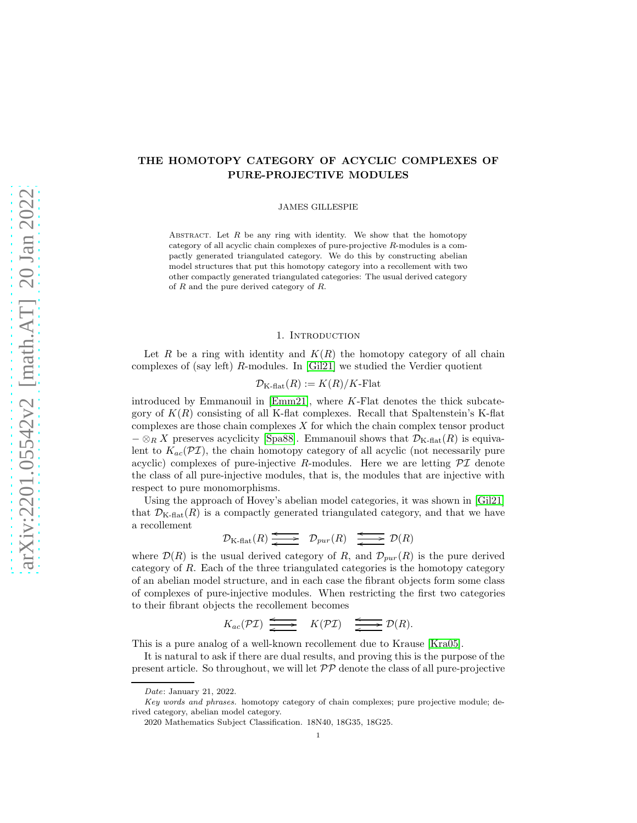# THE HOMOTOPY CATEGORY OF ACYCLIC COMPLEXES OF PURE-PROJECTIVE MODULES

JAMES GILLESPIE

ABSTRACT. Let  $R$  be any ring with identity. We show that the homotopy category of all acyclic chain complexes of pure-projective R-modules is a compactly generated triangulated category. We do this by constructing abelian model structures that put this homotopy category into a recollement with two other compactly generated triangulated categories: The usual derived category of R and the pure derived category of R.

# 1. INTRODUCTION

Let R be a ring with identity and  $K(R)$  the homotopy category of all chain complexes of (say left) R-modules. In [\[Gil21\]](#page-16-0) we studied the Verdier quotient

$$
\mathcal{D}_{K\text{-flat}}(R) := K(R)/K\text{-Flat}
$$

introduced by Emmanouil in [\[Emm21\]](#page-16-1), where K-Flat denotes the thick subcategory of  $K(R)$  consisting of all K-flat complexes. Recall that Spaltenstein's K-flat complexes are those chain complexes X for which the chain complex tensor product  $-\otimes_R X$  preserves acyclicity [\[Spa88\]](#page-17-0). Emmanouil shows that  $\mathcal{D}_{K\text{-flat}}(R)$  is equivalent to  $K_{ac}(\mathcal{PI})$ , the chain homotopy category of all acyclic (not necessarily pure acyclic) complexes of pure-injective R-modules. Here we are letting  $\mathcal{PI}$  denote the class of all pure-injective modules, that is, the modules that are injective with respect to pure monomorphisms.

Using the approach of Hovey's abelian model categories, it was shown in [\[Gil21\]](#page-16-0) that  $\mathcal{D}_{K\text{-flat}}(R)$  is a compactly generated triangulated category, and that we have a recollement

 $\mathcal{D}_{K\text{-flat}}(R) \longrightarrow {\mathcal{D}_{pur}(R)} \longrightarrow {\mathcal{D}(R)}$ o

where  $\mathcal{D}(R)$  is the usual derived category of R, and  $\mathcal{D}_{pur}(R)$  is the pure derived category of R. Each of the three triangulated categories is the homotopy category of an abelian model structure, and in each case the fibrant objects form some class of complexes of pure-injective modules. When restricting the first two categories to their fibrant objects the recollement becomes

$$
K_{ac}(\mathcal{PI}) \xrightarrow{\longleftarrow} K(\mathcal{PI}) \xrightarrow{\longleftarrow} \mathcal{D}(R).
$$

This is a pure analog of a well-known recollement due to Krause [Kra05].

It is natural to ask if there are dual results, and proving this is the purpose of the present article. So throughout, we will let  $\mathcal{PP}$  denote the class of all pure-projective

Date: January 21, 2022.

Key words and phrases. homotopy category of chain complexes; pure projective module; derived category, abelian model category.

<sup>2020</sup> Mathematics Subject Classification. 18N40, 18G35, 18G25.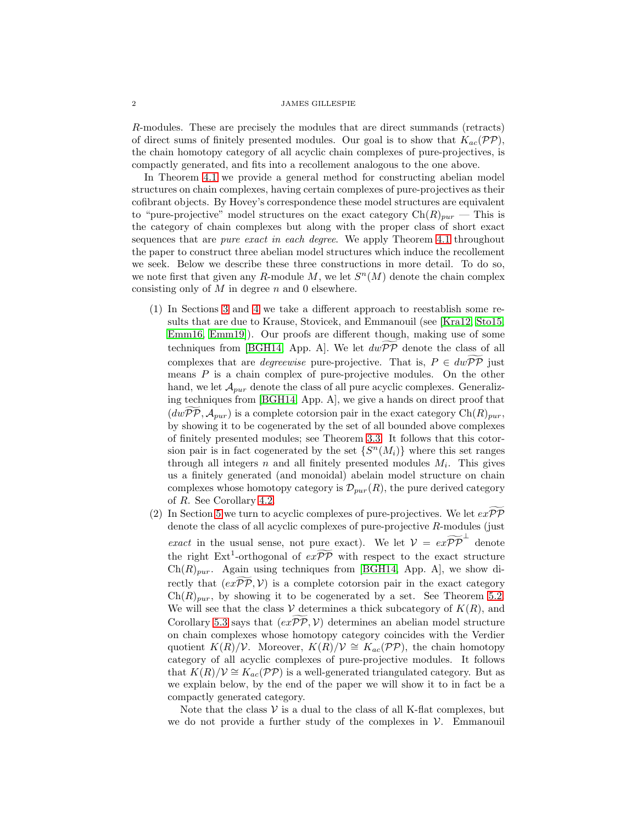R-modules. These are precisely the modules that are direct summands (retracts) of direct sums of finitely presented modules. Our goal is to show that  $K_{ac}(\mathcal{PP})$ , the chain homotopy category of all acyclic chain complexes of pure-projectives, is compactly generated, and fits into a recollement analogous to the one above.

In Theorem [4.1](#page-8-0) we provide a general method for constructing abelian model structures on chain complexes, having certain complexes of pure-projectives as their cofibrant objects. By Hovey's correspondence these model structures are equivalent to "pure-projective" model structures on the exact category  $Ch(R)_{pur}$  — This is the category of chain complexes but along with the proper class of short exact sequences that are *pure exact in each degree*. We apply Theorem [4.1](#page-8-0) throughout the paper to construct three abelian model structures which induce the recollement we seek. Below we describe these three constructions in more detail. To do so, we note first that given any R-module  $M$ , we let  $S<sup>n</sup>(M)$  denote the chain complex consisting only of  $M$  in degree  $n$  and 0 elsewhere.

- (1) In Sections [3](#page-4-0) and [4](#page-7-0) we take a different approach to reestablish some results that are due to Krause, Stovicek, and Emmanouil (see [Kra12, [Sto15,](#page-17-1) [Emm16,](#page-16-2) [Emm19\]](#page-16-3)). Our proofs are different though, making use of some techniques from [\[BGH14,](#page-16-4) App. A]. We let  $dwPP$  denote the class of all complexes that are *degreewise* pure-projective. That is,  $P \in dw\widetilde{PP}$  just means  $P$  is a chain complex of pure-projective modules. On the other hand, we let  $\mathcal{A}_{pur}$  denote the class of all pure acyclic complexes. Generalizing techniques from [\[BGH14,](#page-16-4) App. A], we give a hands on direct proof that  $(dwPP, A_{pur})$  is a complete cotorsion pair in the exact category  $Ch(R)_{pur}$ , by showing it to be cogenerated by the set of all bounded above complexes of finitely presented modules; see Theorem [3.3.](#page-6-0) It follows that this cotorsion pair is in fact cogenerated by the set  $\{S^n(M_i)\}\$  where this set ranges through all integers  $n$  and all finitely presented modules  $M_i$ . This gives us a finitely generated (and monoidal) abelain model structure on chain complexes whose homotopy category is  $\mathcal{D}_{pur}(R)$ , the pure derived category of R. See Corollary [4.2.](#page-10-0)
- (2) In Section [5](#page-11-0) we turn to acyclic complexes of pure-projectives. We let  $exP\widetilde{P}$ denote the class of all acyclic complexes of pure-projective R-modules (just *exact* in the usual sense, not pure exact). We let  $V = e^{\alpha} \widetilde{P} \widetilde{P}$  denote the right  $\text{Ext}^1$ -orthogonal of  $e\widetilde{xp}$  with respect to the exact structure  $Ch(R)_{pur}$ . Again using techniques from [\[BGH14,](#page-16-4) App. A], we show directly that  $(ex\widetilde{\mathcal{PP}}, \mathcal{V})$  is a complete cotorsion pair in the exact category  $\text{Ch}(R)_{\text{pur}}$ , by showing it to be cogenerated by a set. See Theorem [5.2.](#page-12-0) We will see that the class V determines a thick subcategory of  $K(R)$ , and Corollary [5.3](#page-12-1) says that  $(ex\widetilde{\mathcal{PP}}, \mathcal{V})$  determines an abelian model structure on chain complexes whose homotopy category coincides with the Verdier quotient  $K(R)/V$ . Moreover,  $K(R)/V \cong K_{ac}(\mathcal{PP})$ , the chain homotopy category of all acyclic complexes of pure-projective modules. It follows that  $K(R)/V \cong K_{ac}(\mathcal{PP})$  is a well-generated triangulated category. But as we explain below, by the end of the paper we will show it to in fact be a compactly generated category.

Note that the class  $V$  is a dual to the class of all K-flat complexes, but we do not provide a further study of the complexes in  $V$ . Emmanouil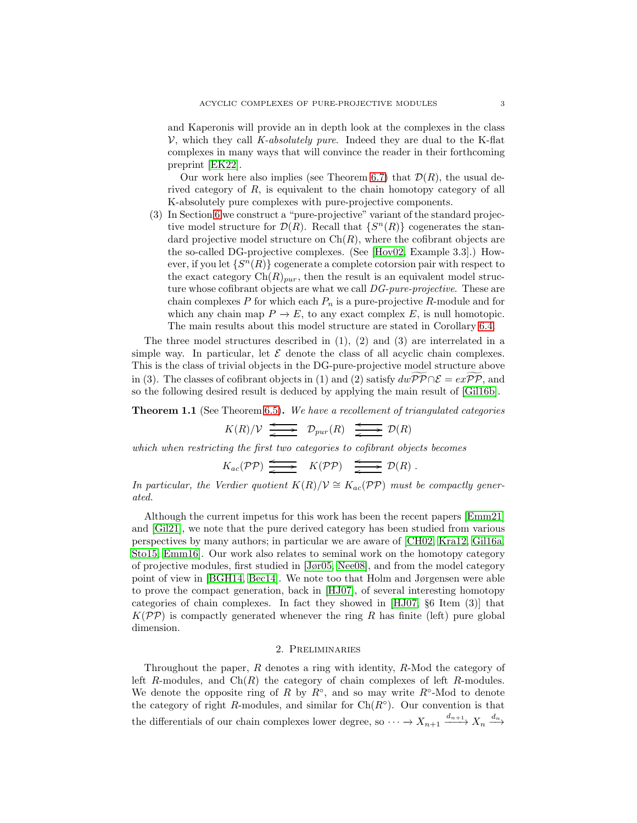and Kaperonis will provide an in depth look at the complexes in the class V, which they call *K-absolutely pure*. Indeed they are dual to the K-flat complexes in many ways that will convince the reader in their forthcoming preprint [\[EK22\]](#page-16-5).

Our work here also implies (see Theorem [6.7\)](#page-15-0) that  $\mathcal{D}(R)$ , the usual derived category of R, is equivalent to the chain homotopy category of all K-absolutely pure complexes with pure-projective components.

(3) In Section [6](#page-13-0) we construct a "pure-projective" variant of the standard projective model structure for  $\mathcal{D}(R)$ . Recall that  $\{S^n(R)\}$  cogenerates the standard projective model structure on  $\mathrm{Ch}(R)$ , where the cofibrant objects are the so-called DG-projective complexes. (See [\[Hov02,](#page-16-6) Example 3.3].) However, if you let  $\{S^n(R)\}$  cogenerate a complete cotorsion pair with respect to the exact category  $\text{Ch}(R)_{pur}$ , then the result is an equivalent model structure whose cofibrant objects are what we call *DG-pure-projective*. These are chain complexes  $P$  for which each  $P_n$  is a pure-projective  $R$ -module and for which any chain map  $P \to E$ , to any exact complex E, is null homotopic. The main results about this model structure are stated in Corollary [6.4.](#page-14-0)

The three model structures described in (1), (2) and (3) are interrelated in a simple way. In particular, let  $\mathcal E$  denote the class of all acyclic chain complexes. This is the class of trivial objects in the DG-pure-projective model structure above in (3). The classes of cofibrant objects in (1) and (2) satisfy  $dw\widetilde{\mathcal{PP}} \cap \mathcal{E} = ex\widetilde{\mathcal{PP}}$ , and so the following desired result is deduced by applying the main result of [\[Gil16b\]](#page-16-7).

Theorem 1.1 (See Theorem [6.5\)](#page-14-1). *We have a recollement of triangulated categories*

$$
K(R)/\mathcal{V} \xrightarrow{\longleftarrow} \mathcal{D}_{pur}(R) \xrightarrow{\longleftarrow} \mathcal{D}(R)
$$

*which when restricting the first two categories to cofibrant objects becomes*

$$
K_{ac}(\mathcal{PP}) \xrightarrow{\longleftarrow} K(\mathcal{PP}) \xrightarrow{\longleftarrow} \mathcal{D}(R).
$$

*In particular, the Verdier quotient*  $K(R)/V \cong K_{ac}(PP)$  *must be compactly generated.*

Although the current impetus for this work has been the recent papers [\[Emm21\]](#page-16-1) and [\[Gil21\]](#page-16-0), we note that the pure derived category has been studied from various perspectives by many authors; in particular we are aware of [CH02, Kra12, [Gil16a,](#page-16-8) [Sto15,](#page-17-1) [Emm16\]](#page-16-2). Our work also relates to seminal work on the homotopy category of projective modules, first studied in [\[Jør05,](#page-16-9) [Nee08\]](#page-17-2), and from the model category point of view in [\[BGH14,](#page-16-4) [Bec14\]](#page-16-10). We note too that Holm and Jørgensen were able to prove the compact generation, back in [\[HJ07\]](#page-16-11), of several interesting homotopy categories of chain complexes. In fact they showed in [\[HJ07,](#page-16-11) §6 Item (3)] that  $K(\mathcal{PP})$  is compactly generated whenever the ring R has finite (left) pure global dimension.

# 2. Preliminaries

Throughout the paper,  $R$  denotes a ring with identity,  $R$ -Mod the category of left R-modules, and  $Ch(R)$  the category of chain complexes of left R-modules. We denote the opposite ring of R by  $R^{\circ}$ , and so may write  $R^{\circ}$ -Mod to denote the category of right R-modules, and similar for  $Ch(R<sup>o</sup>)$ . Our convention is that the differentials of our chain complexes lower degree, so  $\cdots \rightarrow X_{n+1} \xrightarrow{d_{n+1}} X_n \xrightarrow{d_n}$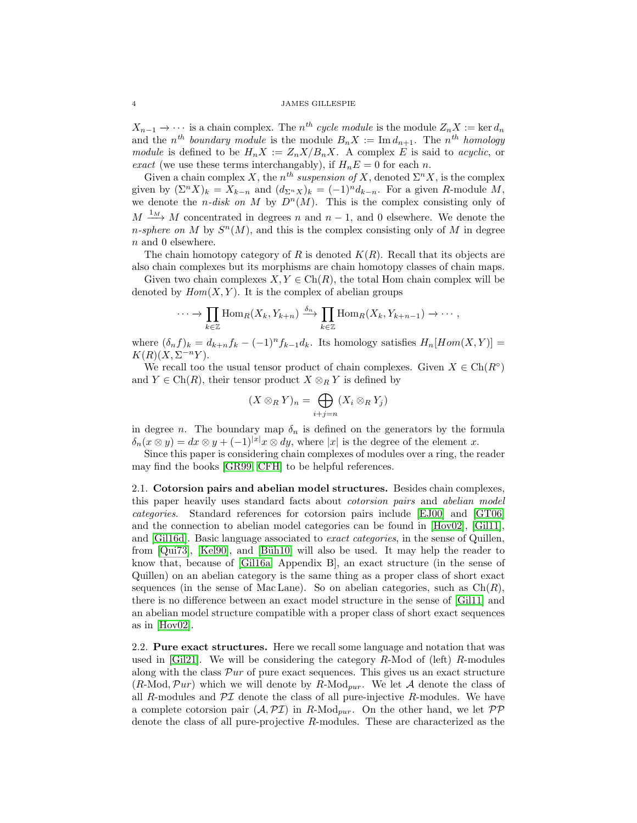$X_{n-1} \to \cdots$  is a chain complex. The  $n^{th}$  *cycle module* is the module  $Z_n X := \text{ker } d_n$ and the  $n^{th}$  *boundary module* is the module  $B_n X := \text{Im } d_{n+1}$ . The  $n^{th}$  *homology module* is defined to be  $H_n X := Z_n X / B_n X$ . A complex E is said to *acyclic*, or *exact* (we use these terms interchangably), if  $H_nE = 0$  for each n.

Given a chain complex X, the  $n^{th}$  *suspension of* X, denoted  $\Sigma^{n} X$ , is the complex given by  $(\Sigma^n X)_k = X_{k-n}$  and  $(d_{\Sigma^n X})_k = (-1)^n d_{k-n}$ . For a given R-module M, we denote the *n-disk on* M by  $D^n(M)$ . This is the complex consisting only of  $M \xrightarrow{1_M} M$  concentrated in degrees n and  $n-1$ , and 0 elsewhere. We denote the *n*-sphere on M by  $S<sup>n</sup>(M)$ , and this is the complex consisting only of M in degree n and 0 elsewhere.

The chain homotopy category of R is denoted  $K(R)$ . Recall that its objects are also chain complexes but its morphisms are chain homotopy classes of chain maps.

Given two chain complexes  $X, Y \in \text{Ch}(R)$ , the total Hom chain complex will be denoted by  $Hom(X, Y)$ . It is the complex of abelian groups

$$
\cdots \to \prod_{k \in \mathbb{Z}} \text{Hom}_R(X_k, Y_{k+n}) \xrightarrow{\delta_n} \prod_{k \in \mathbb{Z}} \text{Hom}_R(X_k, Y_{k+n-1}) \to \cdots,
$$

where  $(\delta_n f)_k = d_{k+n} f_k - (-1)^n f_{k-1} d_k$ . Its homology satisfies  $H_n[Hom(X, Y)] =$  $K(R)(X,\Sigma^{-n}Y).$ 

We recall too the usual tensor product of chain complexes. Given  $X \in \text{Ch}(R^{\circ})$ and  $Y \in \text{Ch}(R)$ , their tensor product  $X \otimes_R Y$  is defined by

$$
(X\otimes_R Y)_n = \bigoplus_{i+j=n} (X_i \otimes_R Y_j)
$$

in degree n. The boundary map  $\delta_n$  is defined on the generators by the formula  $\delta_n(x \otimes y) = dx \otimes y + (-1)^{|x|}x \otimes dy$ , where |x| is the degree of the element x.

Since this paper is considering chain complexes of modules over a ring, the reader may find the books [\[GR99,](#page-16-12) [CFH\]](#page-16-13) to be helpful references.

2.1. Cotorsion pairs and abelian model structures. Besides chain complexes, this paper heavily uses standard facts about *cotorsion pairs* and *abelian model categories*. Standard references for cotorsion pairs include [\[EJ00\]](#page-16-14) and [\[GT06\]](#page-16-15) and the connection to abelian model categories can be found in [\[Hov02\]](#page-16-6), [Gil11], and [\[Gil16d\]](#page-16-16). Basic language associated to *exact categories*, in the sense of Quillen, from  $\lbrack \text{Qui73} \rbrack$ ,  $\lbrack \text{Kel90} \rbrack$ , and  $\lbrack \text{Büh10} \rbrack$  will also be used. It may help the reader to know that, because of [\[Gil16a,](#page-16-8) Appendix B], an exact structure (in the sense of Quillen) on an abelian category is the same thing as a proper class of short exact sequences (in the sense of Mac Lane). So on abelian categories, such as  $Ch(R)$ , there is no difference between an exact model structure in the sense of [Gil11] and an abelian model structure compatible with a proper class of short exact sequences as in [\[Hov02\]](#page-16-6).

<span id="page-3-0"></span>2.2. Pure exact structures. Here we recall some language and notation that was used in  $|G_i|$ . We will be considering the category R-Mod of (left) R-modules along with the class  $\mathcal{P}ur$  of pure exact sequences. This gives us an exact structure  $(R\text{-Mod}, \mathcal{P}ur)$  which we will denote by  $R\text{-Mod}_{pur}$ . We let A denote the class of all R-modules and  $\mathcal{PI}$  denote the class of all pure-injective R-modules. We have a complete cotorsion pair  $(A, \mathcal{PI})$  in R-Mod<sub>pur</sub>. On the other hand, we let  $\mathcal{PP}$ denote the class of all pure-projective R-modules. These are characterized as the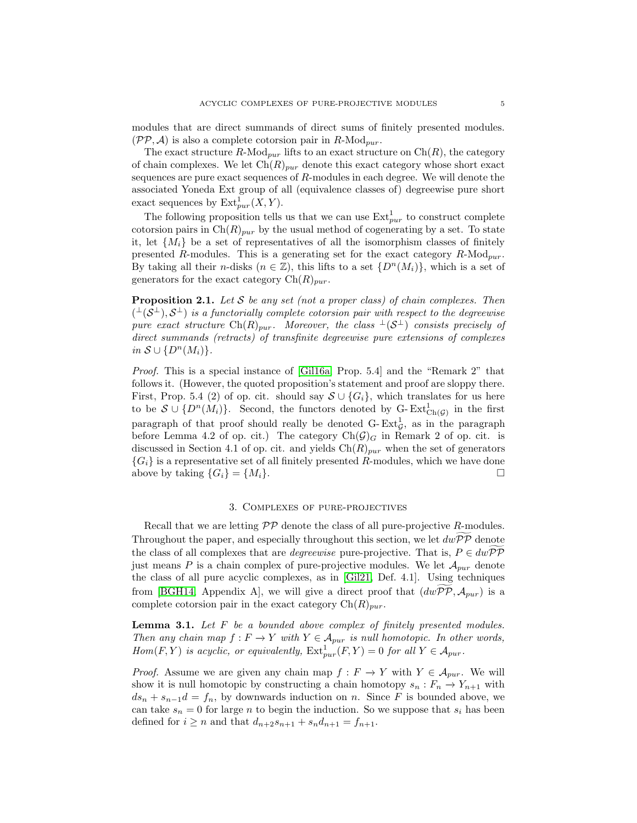modules that are direct summands of direct sums of finitely presented modules.  $(\mathcal{PP}, \mathcal{A})$  is also a complete cotorsion pair in  $R\text{-Mod}_{pur}$ .

The exact structure R-Mod<sub>pur</sub> lifts to an exact structure on  $\text{Ch}(R)$ , the category of chain complexes. We let  $\text{Ch}(R)_{pur}$  denote this exact category whose short exact sequences are pure exact sequences of R-modules in each degree. We will denote the associated Yoneda Ext group of all (equivalence classes of) degreewise pure short exact sequences by  $\text{Ext}^1_{pur}(X, Y)$ .

The following proposition tells us that we can use  $\text{Ext}^1_{pur}$  to construct complete cotorsion pairs in  $\text{Ch}(R)_{pur}$  by the usual method of cogenerating by a set. To state it, let  $\{M_i\}$  be a set of representatives of all the isomorphism classes of finitely presented R-modules. This is a generating set for the exact category  $R\text{-Mod}_{pur}$ . By taking all their n-disks  $(n \in \mathbb{Z})$ , this lifts to a set  $\{D^n(M_i)\}\)$ , which is a set of generators for the exact category  $\text{Ch}(R)_{pur}$ .

<span id="page-4-1"></span>Proposition 2.1. *Let* S *be any set (not a proper class) of chain complexes. Then*  $($ <sup> $\perp$ </sup> $(S^{\perp}), S^{\perp})$  *is a functorially complete cotorsion pair with respect to the degreewise pure exact structure*  $\text{Ch}(R)_{pur}$ . Moreover, the class  $\perp(S^{\perp})$  consists precisely of *direct summands (retracts) of transfinite degreewise pure extensions of complexes in*  $S \cup \{D^n(M_i)\}.$ 

*Proof.* This is a special instance of [\[Gil16a,](#page-16-8) Prop. 5.4] and the "Remark 2" that follows it. (However, the quoted proposition's statement and proof are sloppy there. First, Prop. 5.4 (2) of op. cit. should say  $S \cup \{G_i\}$ , which translates for us here to be  $\mathcal{S} \cup \{D^n(M_i)\}.$  Second, the functors denoted by G-Ext $_{\text{Ch}(\mathcal{G})}^1$  in the first paragraph of that proof should really be denoted  $G$ - $Ext_G^1$ , as in the paragraph before Lemma 4.2 of op. cit.) The category  $Ch(\mathcal{G})_G$  in Remark 2 of op. cit. is discussed in Section 4.1 of op. cit. and yields  $\text{Ch}(R)_{pur}$  when the set of generators  ${G<sub>i</sub>}$  is a representative set of all finitely presented R-modules, which we have done above by taking  $\{G_i\} = \{M_i\}.$ 

# 3. Complexes of pure-projectives

<span id="page-4-0"></span>Recall that we are letting  $\mathcal{PP}$  denote the class of all pure-projective R-modules. Throughout the paper, and especially throughout this section, we let  $dw\widetilde{PP}$  denote the class of all complexes that are *degreewise* pure-projective. That is,  $P \in dw \widetilde{PP}$ just means P is a chain complex of pure-projective modules. We let  $\mathcal{A}_{pur}$  denote the class of all pure acyclic complexes, as in [\[Gil21,](#page-16-0) Def. 4.1]. Using techniques from [\[BGH14,](#page-16-4) Appendix A], we will give a direct proof that  $(dwPP, A_{pur})$  is a complete cotorsion pair in the exact category  $\text{Ch}(R)_{pur}$ .

<span id="page-4-2"></span>Lemma 3.1. *Let* F *be a bounded above complex of finitely presented modules. Then any chain map*  $f : F \to Y$  *with*  $Y \in \mathcal{A}_{pur}$  *is null homotopic. In other words, Hom*(*F,Y*) *is acyclic, or equivalently,*  $\text{Ext}^1_{pur}(F, Y) = 0$  *for all*  $Y \in \mathcal{A}_{pur}$ .

*Proof.* Assume we are given any chain map  $f : F \to Y$  with  $Y \in \mathcal{A}_{pur}$ . We will show it is null homotopic by constructing a chain homotopy  $s_n : F_n \to Y_{n+1}$  with  $ds_n + s_{n-1}d = f_n$ , by downwards induction on n. Since F is bounded above, we can take  $s_n = 0$  for large n to begin the induction. So we suppose that  $s_i$  has been defined for  $i \ge n$  and that  $d_{n+2}s_{n+1} + s_n d_{n+1} = f_{n+1}$ .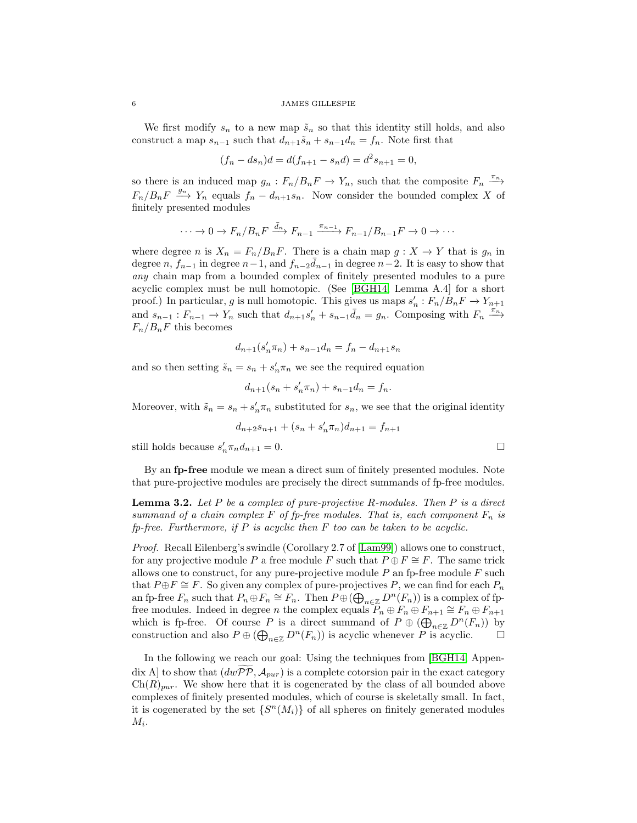We first modify  $s_n$  to a new map  $\tilde{s}_n$  so that this identity still holds, and also construct a map  $s_{n-1}$  such that  $d_{n+1}\tilde{s}_n + s_{n-1}d_n = f_n$ . Note first that

$$
(f_n - ds_n)d = d(f_{n+1} - s_n d) = d^2 s_{n+1} = 0,
$$

so there is an induced map  $g_n : F_n/B_n F \to Y_n$ , such that the composite  $F_n \xrightarrow{\pi_n}$  $F_n/B_nF \xrightarrow{g_n} Y_n$  equals  $f_n - d_{n+1}s_n$ . Now consider the bounded complex X of finitely presented modules

$$
\cdots \to 0 \to F_n/B_nF \xrightarrow{\bar{d}_n} F_{n-1} \xrightarrow{\pi_{n-1}} F_{n-1}/B_{n-1}F \to 0 \to \cdots
$$

where degree n is  $X_n = F_n/B_nF$ . There is a chain map  $g: X \to Y$  that is  $g_n$  in degree  $n, f_{n-1}$  in degree  $n-1$ , and  $f_{n-2}\bar{d}_{n-1}$  in degree  $n-2$ . It is easy to show that *any* chain map from a bounded complex of finitely presented modules to a pure acyclic complex must be null homotopic. (See [\[BGH14,](#page-16-4) Lemma A.4] for a short proof.) In particular, g is null homotopic. This gives us maps  $s'_n : F_n/B_n F \to Y_{n+1}$ and  $s_{n-1}: F_{n-1} \to Y_n$  such that  $d_{n+1} s'_n + s_{n-1} \bar{d}_n = g_n$ . Composing with  $F_n \xrightarrow{\pi_n}$  $F_n/B_nF$  this becomes

$$
d_{n+1}(s'_n \pi_n) + s_{n-1} d_n = f_n - d_{n+1} s_n
$$

and so then setting  $\tilde{s}_n = s_n + s'_n \pi_n$  we see the required equation

$$
d_{n+1}(s_n + s'_n \pi_n) + s_{n-1} d_n = f_n.
$$

Moreover, with  $\tilde{s}_n = s_n + s'_n \pi_n$  substituted for  $s_n$ , we see that the original identity

$$
d_{n+2}s_{n+1} + (s_n + s'_n \pi_n)d_{n+1} = f_{n+1}
$$

still holds because  $s'_n \pi_n d_{n+1} = 0$ .

By an fp-free module we mean a direct sum of finitely presented modules. Note that pure-projective modules are precisely the direct summands of fp-free modules.

<span id="page-5-0"></span>Lemma 3.2. *Let* P *be a complex of pure-projective* R*-modules. Then* P *is a direct summand of a chain complex* F *of fp-free modules. That is, each component*  $F_n$  *is fp-free. Furthermore, if* P *is acyclic then* F *too can be taken to be acyclic.*

*Proof.* Recall Eilenberg's swindle (Corollary 2.7 of [\[Lam99\]](#page-17-3)) allows one to construct, for any projective module P a free module F such that  $P \oplus F \cong F$ . The same trick allows one to construct, for any pure-projective module  $P$  an fp-free module  $F$  such that  $P \oplus F \cong F$ . So given any complex of pure-projectives P, we can find for each  $P_n$ an fp-free  $F_n$  such that  $P_n \oplus F_n \cong F_n$ . Then  $P \oplus (\bigoplus_{n \in \mathbb{Z}} D^n(F_n))$  is a complex of fpfree modules. Indeed in degree *n* the complex equals  $P_n \oplus F_n \oplus F_{n+1} \cong F_n \oplus F_{n+1}$ which is fp-free. Of course P is a direct summand of  $P \oplus (\bigoplus_{n \in \mathbb{Z}} D^n(F_n))$  by construction and also  $P \oplus (\bigoplus_{n \in \mathbb{Z}} D^n(F_n))$  is acyclic whenever P is acyclic.

In the following we reach our goal: Using the techniques from [\[BGH14,](#page-16-4) Appendix A] to show that  $(dwPP, A_{pur})$  is a complete cotorsion pair in the exact category  $\text{Ch}(R)_{pur}$ . We show here that it is cogenerated by the class of all bounded above complexes of finitely presented modules, which of course is skeletally small. In fact, it is cogenerated by the set  $\{S^n(M_i)\}\$ of all spheres on finitely generated modules  $M_i$ .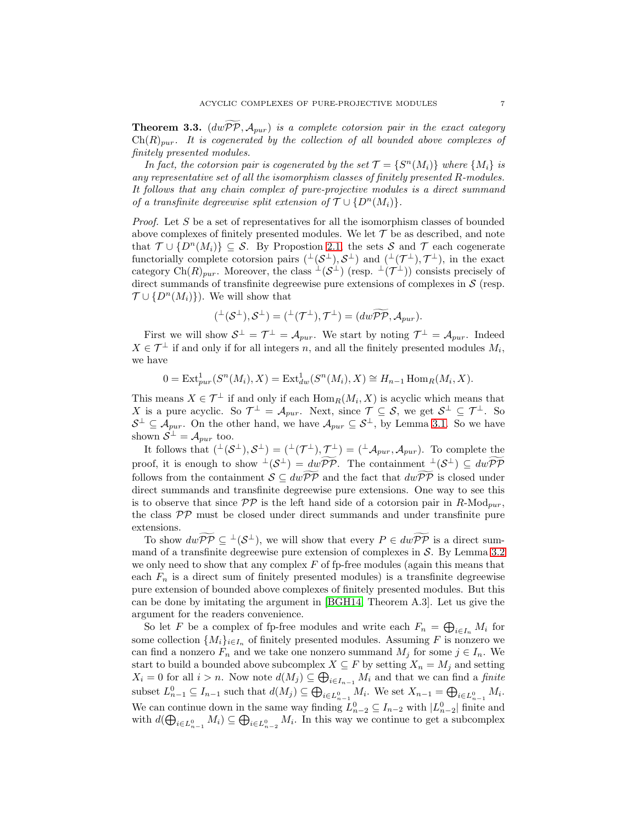<span id="page-6-0"></span>**Theorem 3.3.**  $(dwPP, A_{pur})$  *is a complete cotorsion pair in the exact category*  $\text{Ch}(R)_{pur}$ . It is cogenerated by the collection of all bounded above complexes of *finitely presented modules.*

*In fact, the cotorsion pair is cogenerated by the set*  $\mathcal{T} = \{ S^n(M_i) \}$  *where*  $\{ M_i \}$  *is any representative set of all the isomorphism classes of finitely presented* R*-modules. It follows that any chain complex of pure-projective modules is a direct summand of a transfinite degreewise split extension of*  $\mathcal{T} \cup \{D^n(M_i)\}.$ 

*Proof.* Let S be a set of representatives for all the isomorphism classes of bounded above complexes of finitely presented modules. We let  $\mathcal T$  be as described, and note that  $\mathcal{T} \cup \{D^n(M_i)\} \subseteq \mathcal{S}$ . By Propostion [2.1,](#page-4-1) the sets S and T each cogenerate functorially complete cotorsion pairs  $($ <sup>⊥</sup> $(S^{\perp}), S^{\perp})$  and  $($ <sup>⊥</sup> $($  $\mathcal{T}^{\perp}), \mathcal{T}^{\perp})$ , in the exact category Ch $(R)_{pur}$ . Moreover, the class  $\perp(S^{\perp})$  (resp.  $\perp(\mathcal{T}^{\perp})$ ) consists precisely of direct summands of transfinite degreewise pure extensions of complexes in  $\mathcal{S}$  (resp.  $\mathcal{T} \cup \{D^n(M_i)\}\)$ . We will show that

$$
({}^{\perp}(\mathcal{S}^{\perp}),\mathcal{S}^{\perp})=({}^{\perp}(\mathcal{T}^{\perp}),\mathcal{T}^{\perp})=(dw\widetilde{\mathcal{PP}},\mathcal{A}_{pur}).
$$

First we will show  $S^{\perp} = \mathcal{T}^{\perp} = \mathcal{A}_{pur}$ . We start by noting  $\mathcal{T}^{\perp} = \mathcal{A}_{pur}$ . Indeed  $X \in \mathcal{T}^{\perp}$  if and only if for all integers n, and all the finitely presented modules  $M_i$ , we have

$$
0 = \text{Ext}^1_{pur}(S^n(M_i), X) = \text{Ext}^1_{dw}(S^n(M_i), X) \cong H_{n-1} \text{Hom}_R(M_i, X).
$$

This means  $X \in \mathcal{T}^{\perp}$  if and only if each  $\text{Hom}_R(M_i, X)$  is acyclic which means that X is a pure acyclic. So  $\mathcal{T}^{\perp} = \mathcal{A}_{pur}$ . Next, since  $\mathcal{T} \subseteq \mathcal{S}$ , we get  $\mathcal{S}^{\perp} \subseteq \mathcal{T}^{\perp}$ . So  $S^{\perp} \subseteq A_{pur}$ . On the other hand, we have  $A_{pur} \subseteq S^{\perp}$ , by Lemma [3.1.](#page-4-2) So we have shown  $S^{\perp} = A_{pur}$  too.

It follows that  $({}^{\perp}(\mathcal{S}^{\perp}), \mathcal{S}^{\perp}) = ({}^{\perp}(\mathcal{T}^{\perp}), \mathcal{T}^{\perp}) = ({}^{\perp}A_{pur}, A_{pur})$ . To complete the proof, it is enough to show  $\perp(\mathcal{S}^{\perp}) = dw \overline{\mathcal{PP}}$ . The containment  $\perp(\mathcal{S}^{\perp}) \subseteq dw \overline{\mathcal{PP}}$ follows from the containment  $S \subseteq dw \widetilde{P} \widetilde{P}$  and the fact that  $dw \widetilde{P} \widetilde{P}$  is closed under direct summands and transfinite degreewise pure extensions. One way to see this is to observe that since  $\mathcal{PP}$  is the left hand side of a cotorsion pair in  $R\text{-Mod}_{pur}$ , the class PP must be closed under direct summands and under transfinite pure extensions.

To show  $dwPP \subseteq {}^{\perp}(\mathcal{S}^{\perp})$ , we will show that every  $P \in dwPP$  is a direct summand of a transfinite degreewise pure extension of complexes in  $S$ . By Lemma [3.2](#page-5-0) we only need to show that any complex  $F$  of fp-free modules (again this means that each  $F_n$  is a direct sum of finitely presented modules) is a transfinite degreewise pure extension of bounded above complexes of finitely presented modules. But this can be done by imitating the argument in [\[BGH14,](#page-16-4) Theorem A.3]. Let us give the argument for the readers convenience.

So let F be a complex of fp-free modules and write each  $F_n = \bigoplus_{i \in I_n} M_i$  for some collection  $\{M_i\}_{i\in I_n}$  of finitely presented modules. Assuming F is nonzero we can find a nonzero  $F_n$  and we take one nonzero summand  $M_j$  for some  $j \in I_n$ . We start to build a bounded above subcomplex  $X \subseteq F$  by setting  $X_n = M_j$  and setting  $X_i = 0$  for all  $i > n$ . Now note  $d(M_j) \subseteq \bigoplus_{i \in I_{n-1}} M_i$  and that we can find a *finite* subset  $L_{n-1}^0 \subseteq I_{n-1}$  such that  $d(M_j) \subseteq \bigoplus_{i \in L_{n-1}^0} M_i$ . We set  $X_{n-1} = \bigoplus_{i \in L_{n-1}^0} M_i$ . We can continue down in the same way finding  $L_{n-2}^0 \subseteq I_{n-2}$  with  $|L_{n-2}^0|$  finite and with  $d(\bigoplus_{i\in L_{n-1}^0}M_i)\subseteq \bigoplus_{i\in L_{n-2}^0}M_i$ . In this way we continue to get a subcomplex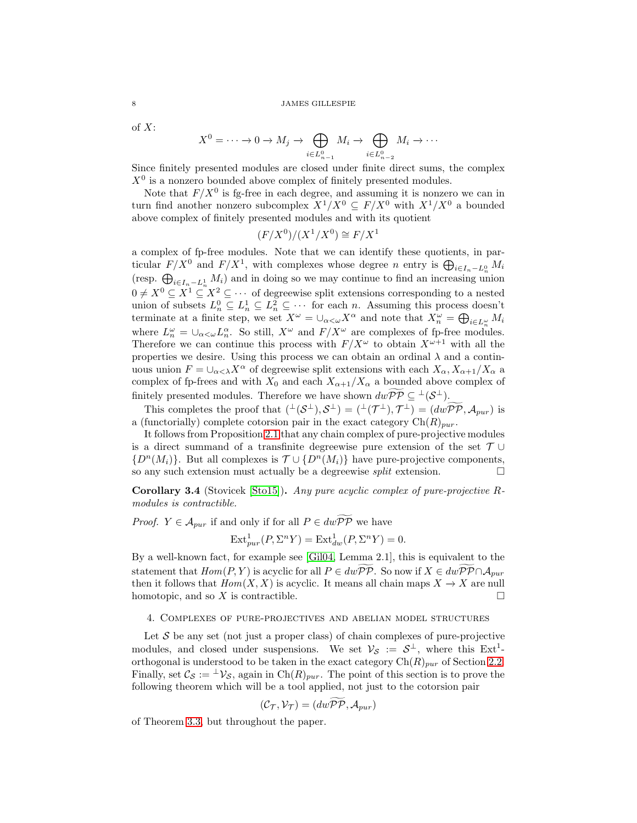of X:

$$
X^{0} = \cdots \to 0 \to M_{j} \to \bigoplus_{i \in L_{n-1}^{0}} M_{i} \to \bigoplus_{i \in L_{n-2}^{0}} M_{i} \to \cdots
$$

Since finitely presented modules are closed under finite direct sums, the complex  $X<sup>0</sup>$  is a nonzero bounded above complex of finitely presented modules.

Note that  $F/X^0$  is fg-free in each degree, and assuming it is nonzero we can in turn find another nonzero subcomplex  $X^1/X^0 \subseteq F/X^0$  with  $X^1/X^0$  a bounded above complex of finitely presented modules and with its quotient

$$
(F/X^0)/(X^1/X^0) \cong F/X^1
$$

a complex of fp-free modules. Note that we can identify these quotients, in particular  $F/X^0$  and  $F/X^1$ , with complexes whose degree n entry is  $\bigoplus_{i\in I_n-L_n^0} M_i$ (resp.  $\bigoplus_{i\in I_n-L_n^1} M_i$ ) and in doing so we may continue to find an increasing union  $0 \neq X^0 \subseteq X^1 \subseteq X^2 \subseteq \cdots$  of degreewise split extensions corresponding to a nested union of subsets  $L_n^0 \subseteq L_n^1 \subseteq L_n^2 \subseteq \cdots$  for each n. Assuming this process doesn't terminate at a finite step, we set  $X^{\omega} = \bigcup_{\alpha < \omega} X^{\alpha}$  and note that  $X_n^{\omega} = \bigoplus_{i \in L_n^{\omega}} M_i$ where  $L_n^{\omega} = \cup_{\alpha < \omega} L_n^{\alpha}$ . So still,  $X^{\omega}$  and  $F/X^{\omega}$  are complexes of fp-free modules. Therefore we can continue this process with  $F/X^{\omega}$  to obtain  $X^{\omega+1}$  with all the properties we desire. Using this process we can obtain an ordinal  $\lambda$  and a continuous union  $F = \bigcup_{\alpha < \lambda} X^{\alpha}$  of degreewise split extensions with each  $X_{\alpha}, X_{\alpha+1}/X_{\alpha}$  a complex of fp-frees and with  $X_0$  and each  $X_{\alpha+1}/X_{\alpha}$  a bounded above complex of finitely presented modules. Therefore we have shown  $dwPP \subseteq \perp(S^{\perp})$ .

This completes the proof that  $({}^{\perp}(\mathcal{S}^{\perp}), \mathcal{S}^{\perp}) = ({}^{\perp}(\mathcal{T}^{\perp}), \mathcal{T}^{\perp}) = (dw\mathcal{PP}, \mathcal{A}_{pur})$  is a (functorially) complete cotorsion pair in the exact category  $\text{Ch}(R)_{pur}$ .

It follows from Proposition [2.1](#page-4-1) that any chain complex of pure-projective modules is a direct summand of a transfinite degreewise pure extension of the set  $\mathcal{T} \cup$  ${D^n(M_i)}$ . But all complexes is  $\mathcal{T} \cup {D^n(M_i)}$  have pure-projective components, so any such extension must actually be a degreewise *split* extension.

<span id="page-7-1"></span>Corollary 3.4 (Stovicek [\[Sto15\]](#page-17-1)). *Any pure acyclic complex of pure-projective* R*modules is contractible.*

*Proof.*  $Y \in \mathcal{A}_{pur}$  if and only if for all  $P \in dw\widetilde{PP}$  we have

$$
\operatorname{Ext}^1_{pur}(P, \Sigma^n Y) = \operatorname{Ext}^1_{dw}(P, \Sigma^n Y) = 0.
$$

By a well-known fact, for example see [\[Gil04,](#page-16-18) Lemma 2.1], this is equivalent to the statement that  $Hom(P, Y)$  is acyclic for all  $P \in dw \widetilde{P} \widetilde{P}$ . So now if  $X \in dw \widetilde{P} \widetilde{P} \cap A_{pur}$ then it follows that  $Hom(X, X)$  is acyclic. It means all chain maps  $X \to X$  are null homotopic, and so X is contractible.  $\square$ 

# <span id="page-7-0"></span>4. Complexes of pure-projectives and abelian model structures

Let  $\mathcal S$  be any set (not just a proper class) of chain complexes of pure-projective modules, and closed under suspensions. We set  $\mathcal{V}_{\mathcal{S}} := \mathcal{S}^{\perp}$ , where this  $Ext^1$ orthogonal is understood to be taken in the exact category  $\text{Ch}(R)_{pur}$  of Section [2.2.](#page-3-0) Finally, set  $\mathcal{C}_{\mathcal{S}} := {}^{\perp} \mathcal{V}_{\mathcal{S}}$ , again in  $Ch(R)_{pur}$ . The point of this section is to prove the following theorem which will be a tool applied, not just to the cotorsion pair

$$
(\mathcal{C}_{\mathcal{T}}, \mathcal{V}_{\mathcal{T}}) = (dw\mathcal{PP}, \mathcal{A}_{pur})
$$

of Theorem [3.3,](#page-6-0) but throughout the paper.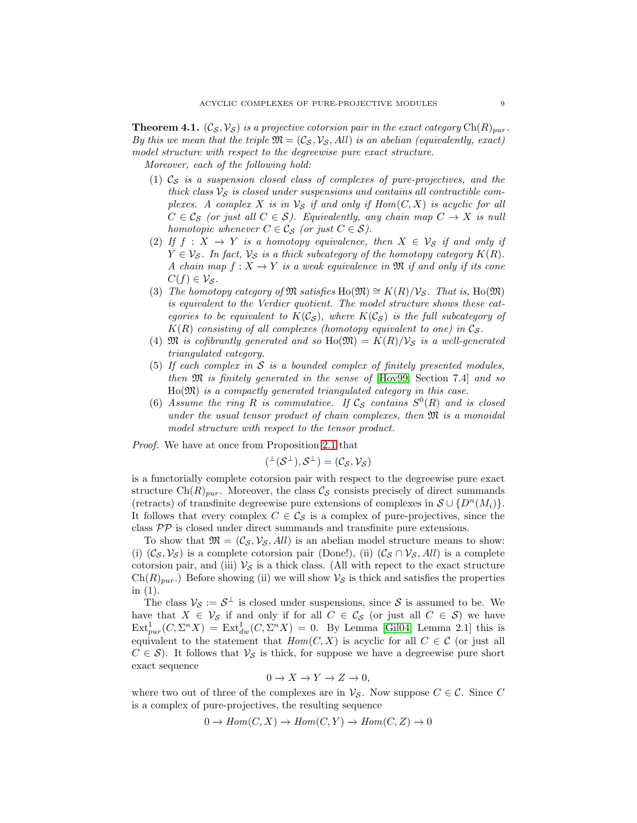<span id="page-8-0"></span>**Theorem 4.1.**  $(\mathcal{C}_{\mathcal{S}}, \mathcal{V}_{\mathcal{S}})$  *is a projective cotorsion pair in the exact category*  $\mathrm{Ch}(R)_{pur}$ . *By this we mean that the triple*  $\mathfrak{M} = (\mathcal{C}_{\mathcal{S}}, \mathcal{V}_{\mathcal{S}}, All)$  *is an abelian (equivalently, exact) model structure with respect to the degreewise pure exact structure.*

*Moreover, each of the following hold:*

- (1)  $\mathcal{C}_\mathcal{S}$  *is a suspension closed class of complexes of pure-projectives, and the thick class*  $V_S$  *is closed under suspensions and contains all contractible complexes.* A complex X is in  $\mathcal{V}_S$  if and only if  $Hom(C, X)$  is acyclic for all  $C \in \mathcal{C}_{\mathcal{S}}$  *(or just all*  $C \in \mathcal{S}$ *). Equivalently, any chain map*  $C \to X$  *is null homotopic whenever*  $C \in \mathcal{C}_{S}$  *(or just*  $C \in \mathcal{S}$ *).*
- (2) If  $f : X \to Y$  *is a homotopy equivalence, then*  $X \in V_S$  *if and only if*  $Y \in V_{\mathcal{S}}$ *. In fact,*  $V_{\mathcal{S}}$  *is a thick subcategory of the homotopy category*  $K(R)$ *. A chain map*  $f: X \to Y$  *is a weak equivalence in*  $\mathfrak{M}$  *if and only if its cone*  $C(f) \in \mathcal{V}_{\mathcal{S}}$ *.*
- (3) *The homotopy category of*  $\mathfrak{M}$  *satisfies* Ho( $\mathfrak{M}$ )  $\cong K(R)/\mathcal{V}_{\mathcal{S}}$ *. That is,* Ho( $\mathfrak{M}$ ) *is equivalent to the Verdier quotient. The model structure shows these categories to be equivalent to*  $K(\mathcal{C}_{\mathcal{S}})$ *, where*  $K(\mathcal{C}_{\mathcal{S}})$  *is the full subcategory of*  $K(R)$  consisting of all complexes (homotopy equivalent to one) in  $\mathcal{C}_S$ .
- (4)  $\mathfrak{M}$  *is cofibrantly generated and so*  $\text{Ho}(\mathfrak{M}) = K(R)/\mathcal{V}_{\mathcal{S}}$  *is a well-generated triangulated category.*
- (5) *If each complex in* S *is a bounded complex of finitely presented modules, then* M *is finitely generated in the sense of* [\[Hov99,](#page-16-19) Section 7.4] *and so* Ho(M) *is a compactly generated triangulated category in this case.*
- (6) Assume the ring R is commutative. If  $\mathcal{C}_{\mathcal{S}}$  contains  $S^0(R)$  and is closed *under the usual tensor product of chain complexes, then* M *is a monoidal model structure with respect to the tensor product.*

*Proof.* We have at once from Proposition [2.1](#page-4-1) that

$$
({}^{\perp}(\mathcal{S}^{\perp}),\mathcal{S}^{\perp})=(\mathcal{C}_{\mathcal{S}},\mathcal{V}_{\mathcal{S}})
$$

is a functorially complete cotorsion pair with respect to the degreewise pure exact structure Ch(R)<sub>pur</sub>. Moreover, the class  $\mathcal{C}_{\mathcal{S}}$  consists precisely of direct summands (retracts) of transfinite degreewise pure extensions of complexes in  $S \cup \{D^n(M_i)\}.$ It follows that every complex  $C \in \mathcal{C}_{\mathcal{S}}$  is a complex of pure-projectives, since the class  $\mathcal{PP}$  is closed under direct summands and transfinite pure extensions.

To show that  $\mathfrak{M} = (\mathcal{C}_{\mathcal{S}}, \mathcal{V}_{\mathcal{S}}, All)$  is an abelian model structure means to show: (i)  $(C_S, V_S)$  is a complete cotorsion pair (Done!), (ii)  $(C_S \cap V_S, All)$  is a complete cotorsion pair, and (iii)  $\mathcal{V}_{\mathcal{S}}$  is a thick class. (All with repect to the exact structure  $\text{Ch}(R)_{pur}$ .) Before showing (ii) we will show  $\mathcal{V}_{\mathcal{S}}$  is thick and satisfies the properties in (1).

The class  $\mathcal{V}_{\mathcal{S}} := \mathcal{S}^{\perp}$  is closed under suspensions, since  $\mathcal{S}$  is assumed to be. We have that  $X \in V_{\mathcal{S}}$  if and only if for all  $C \in \mathcal{C}_{\mathcal{S}}$  (or just all  $C \in \mathcal{S}$ ) we have  $\text{Ext}^1_{pur}(C, \Sigma^n X) = \text{Ext}^1_{dw}(C, \Sigma^n X) = 0.$  By Lemma [\[Gil04,](#page-16-18) Lemma 2.1] this is equivalent to the statement that  $Hom(C, X)$  is acyclic for all  $C \in \mathcal{C}$  (or just all  $C \in \mathcal{S}$ ). It follows that  $V_{\mathcal{S}}$  is thick, for suppose we have a degreewise pure short exact sequence

$$
0 \to X \to Y \to Z \to 0,
$$

where two out of three of the complexes are in  $\mathcal{V}_{\mathcal{S}}$ . Now suppose  $C \in \mathcal{C}$ . Since C is a complex of pure-projectives, the resulting sequence

$$
0 \to Hom(C, X) \to Hom(C, Y) \to Hom(C, Z) \to 0
$$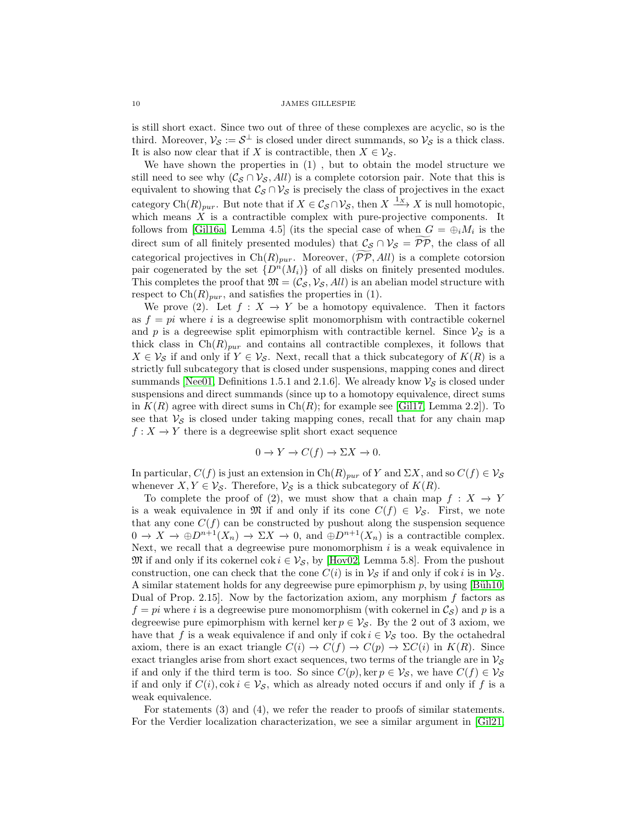is still short exact. Since two out of three of these complexes are acyclic, so is the third. Moreover,  $\mathcal{V}_{\mathcal{S}} := \mathcal{S}^{\perp}$  is closed under direct summands, so  $\mathcal{V}_{\mathcal{S}}$  is a thick class. It is also now clear that if X is contractible, then  $X \in V_{\mathcal{S}}$ .

We have shown the properties in (1) , but to obtain the model structure we still need to see why  $(C_{\mathcal{S}} \cap \mathcal{V}_{\mathcal{S}}, All)$  is a complete cotorsion pair. Note that this is equivalent to showing that  $\mathcal{C}_{\mathcal{S}} \cap \mathcal{V}_{\mathcal{S}}$  is precisely the class of projectives in the exact category Ch $(R)_{pur}$ . But note that if  $X \in \mathcal{C}_{\mathcal{S}} \cap \mathcal{V}_{\mathcal{S}}$ , then  $X \xrightarrow{1_X} X$  is null homotopic, which means  $X$  is a contractible complex with pure-projective components. It follows from [\[Gil16a,](#page-16-8) Lemma 4.5] (its the special case of when  $G = \bigoplus_i M_i$  is the direct sum of all finitely presented modules) that  $\mathcal{C}_{\mathcal{S}} \cap \mathcal{V}_{\mathcal{S}} = \mathcal{PP}$ , the class of all categorical projectives in Ch(R)<sub>pur</sub>. Moreover,  $(\widetilde{PP}, All)$  is a complete cotorsion pair cogenerated by the set  $\{D^n(M_i)\}\$  of all disks on finitely presented modules. This completes the proof that  $\mathfrak{M} = (\mathcal{C}_S, \mathcal{V}_S, All)$  is an abelian model structure with respect to  $\text{Ch}(R)_{pur}$ , and satisfies the properties in (1).

We prove (2). Let  $f : X \to Y$  be a homotopy equivalence. Then it factors as  $f = pi$  where i is a degreewise split monomorphism with contractible cokernel and p is a degreewise split epimorphism with contractible kernel. Since  $\mathcal{V}_{\mathcal{S}}$  is a thick class in  $Ch(R)_{pur}$  and contains all contractible complexes, it follows that  $X \in V_{\mathcal{S}}$  if and only if  $Y \in V_{\mathcal{S}}$ . Next, recall that a thick subcategory of  $K(R)$  is a strictly full subcategory that is closed under suspensions, mapping cones and direct summands [\[Nee01,](#page-17-4) Definitions 1.5.1 and 2.1.6]. We already know  $\mathcal{V}_{\mathcal{S}}$  is closed under suspensions and direct summands (since up to a homotopy equivalence, direct sums in  $K(R)$  agree with direct sums in  $Ch(R)$ ; for example see [\[Gil17,](#page-16-20) Lemma 2.2]). To see that  $V_{\mathcal{S}}$  is closed under taking mapping cones, recall that for any chain map  $f: X \to Y$  there is a degreewise split short exact sequence

$$
0 \to Y \to C(f) \to \Sigma X \to 0.
$$

In particular,  $C(f)$  is just an extension in  $Ch(R)_{pur}$  of Y and  $\Sigma X$ , and so  $C(f) \in V_S$ whenever  $X, Y \in \mathcal{V}_{\mathcal{S}}$ . Therefore,  $\mathcal{V}_{\mathcal{S}}$  is a thick subcategory of  $K(R)$ .

To complete the proof of (2), we must show that a chain map  $f : X \to Y$ is a weak equivalence in M if and only if its cone  $C(f) \in V_{\mathcal{S}}$ . First, we note that any cone  $C(f)$  can be constructed by pushout along the suspension sequence  $0 \to X \to \oplus D^{n+1}(X_n) \to \Sigma X \to 0$ , and  $\oplus D^{n+1}(X_n)$  is a contractible complex. Next, we recall that a degreewise pure monomorphism  $i$  is a weak equivalence in  $\mathfrak{M}$  if and only if its cokernel cok  $i \in \mathcal{V}_{\mathcal{S}}$ , by [\[Hov02,](#page-16-6) Lemma 5.8]. From the pushout construction, one can check that the cone  $C(i)$  is in  $\mathcal{V}_{\mathcal{S}}$  if and only if cok i is in  $\mathcal{V}_{\mathcal{S}}$ . A similar statement holds for any degreewise pure epimorphism  $p$ , by using [Büh10, Dual of Prop. 2.15. Now by the factorization axiom, any morphism  $f$  factors as  $f = pi$  where i is a degreewise pure monomorphism (with cokernel in  $\mathcal{C}_{\mathcal{S}}$ ) and p is a degreewise pure epimorphism with kernel ker  $p \in V_{\mathcal{S}}$ . By the 2 out of 3 axiom, we have that f is a weak equivalence if and only if  $\cot i \in V_{\mathcal{S}}$  too. By the octahedral axiom, there is an exact triangle  $C(i) \to C(f) \to C(p) \to \Sigma C(i)$  in  $K(R)$ . Since exact triangles arise from short exact sequences, two terms of the triangle are in  $\mathcal{V}_{\mathcal{S}}$ if and only if the third term is too. So since  $C(p)$ , ker  $p \in V_{\mathcal{S}}$ , we have  $C(f) \in V_{\mathcal{S}}$ if and only if  $C(i)$ ,  $\cot i \in V_{\mathcal{S}}$ , which as already noted occurs if and only if f is a weak equivalence.

For statements (3) and (4), we refer the reader to proofs of similar statements. For the Verdier localization characterization, we see a similar argument in [\[Gil21,](#page-16-0)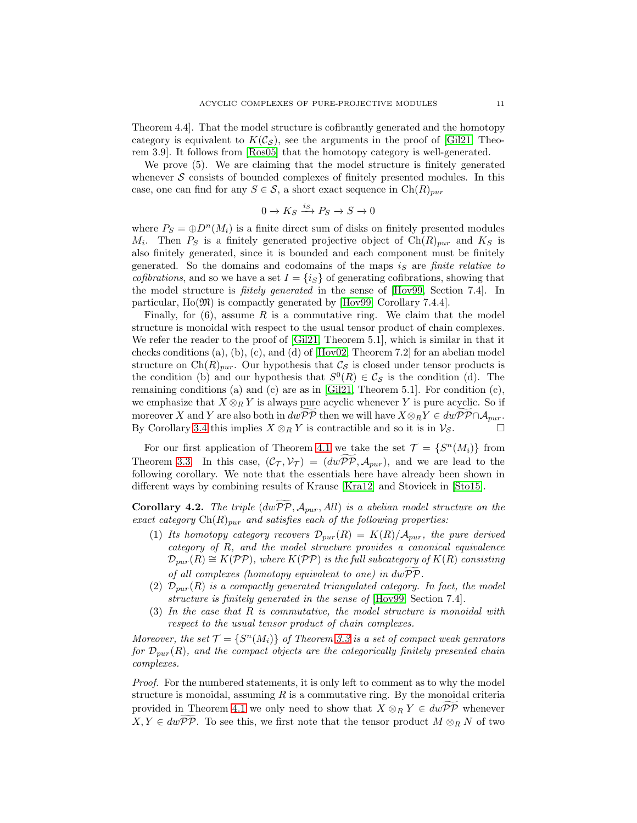Theorem 4.4]. That the model structure is cofibrantly generated and the homotopy category is equivalent to  $K(\mathcal{C}_{\mathcal{S}})$ , see the arguments in the proof of [\[Gil21,](#page-16-0) Theorem 3.9]. It follows from [Ros05] that the homotopy category is well-generated.

We prove (5). We are claiming that the model structure is finitely generated whenever  $S$  consists of bounded complexes of finitely presented modules. In this case, one can find for any  $S \in \mathcal{S}$ , a short exact sequence in  $Ch(R)_{pur}$ 

$$
0\to K_S\xrightarrow{i_S}P_S\to S\to 0
$$

where  $P_S = \bigoplus P^*(M_i)$  is a finite direct sum of disks on finitely presented modules  $M_i$ . Then  $P_S$  is a finitely generated projective object of  $\text{Ch}(R)_{pur}$  and  $K_S$  is also finitely generated, since it is bounded and each component must be finitely generated. So the domains and codomains of the maps is are *finite relative to cofibrations*, and so we have a set  $I = \{i_S\}$  of generating cofibrations, showing that the model structure is *fiitely generated* in the sense of [\[Hov99,](#page-16-19) Section 7.4]. In particular, Ho(M) is compactly generated by [\[Hov99,](#page-16-19) Corollary 7.4.4].

Finally, for  $(6)$ , assume R is a commutative ring. We claim that the model structure is monoidal with respect to the usual tensor product of chain complexes. We refer the reader to the proof of [\[Gil21,](#page-16-0) Theorem 5.1], which is similar in that it checks conditions (a), (b), (c), and (d) of [\[Hov02,](#page-16-6) Theorem 7.2] for an abelian model structure on  $\text{Ch}(R)_{pur}$ . Our hypothesis that  $\mathcal{C}_{\mathcal{S}}$  is closed under tensor products is the condition (b) and our hypothesis that  $S^0(R) \in \mathcal{C}_{\mathcal{S}}$  is the condition (d). The remaining conditions (a) and (c) are as in [\[Gil21,](#page-16-0) Theorem 5.1]. For condition  $(c)$ , we emphasize that  $X \otimes_R Y$  is always pure acyclic whenever Y is pure acyclic. So if moreover X and Y are also both in  $dw\overline{PP}$  then we will have  $X \otimes_R Y \in dw\overline{PP} \cap A_{pur}$ . By Corollary [3.4](#page-7-1) this implies  $X \otimes_R Y$  is contractible and so it is in  $\mathcal{V}_{\mathcal{S}}$ .

For our first application of Theorem [4.1](#page-8-0) we take the set  $\mathcal{T} = \{S^n(M_i)\}\)$  from Theorem [3.3.](#page-6-0) In this case,  $(\mathcal{C}_{\mathcal{T}}, \mathcal{V}_{\mathcal{T}}) = (dw\overline{\mathcal{PP}}, \mathcal{A}_{pur})$ , and we are lead to the following corollary. We note that the essentials here have already been shown in different ways by combining results of Krause [Kra12] and Stovicek in [\[Sto15\]](#page-17-1).

<span id="page-10-0"></span>**Corollary 4.2.** *The triple*  $(d\hat{\psi}P\hat{\mathcal{P}}, \mathcal{A}_{pur}, All)$  *is a abelian model structure on the exact category*  $\text{Ch}(R)_{pur}$  *and satisfies each of the following properties:* 

- (1) Its homotopy category recovers  $\mathcal{D}_{pur}(R) = K(R)/\mathcal{A}_{pur}$ , the pure derived *category of* R*, and the model structure provides a canonical equivalence*  $\mathcal{D}_{pur}(R) \cong K(\mathcal{PP})$ *, where*  $K(\mathcal{PP})$  *is the full subcategory of*  $K(R)$  *consisting of all complexes (homotopy equivalent to one) in* dwPPg*.*
- (2)  $\mathcal{D}_{pur}(R)$  *is a compactly generated triangulated category. In fact, the model structure is finitely generated in the sense of* [\[Hov99,](#page-16-19) Section 7.4]*.*
- (3) *In the case that* R *is commutative, the model structure is monoidal with respect to the usual tensor product of chain complexes.*

*Moreover, the set*  $\mathcal{T} = \{ S^n(M_i) \}$  *of Theorem [3.3](#page-6-0) is a set of compact weak genrators for*  $\mathcal{D}_{pur}(R)$ *, and the compact objects are the categorically finitely presented chain complexes.*

*Proof.* For the numbered statements, it is only left to comment as to why the model structure is monoidal, assuming  $R$  is a commutative ring. By the monoidal criteria provided in Theorem [4.1](#page-8-0) we only need to show that  $X \otimes_R Y \in dw \widetilde{P} \widetilde{P}$  whenever  $X, Y \in dw \widetilde{P} \widetilde{P}$ . To see this, we first note that the tensor product  $M \otimes_R N$  of two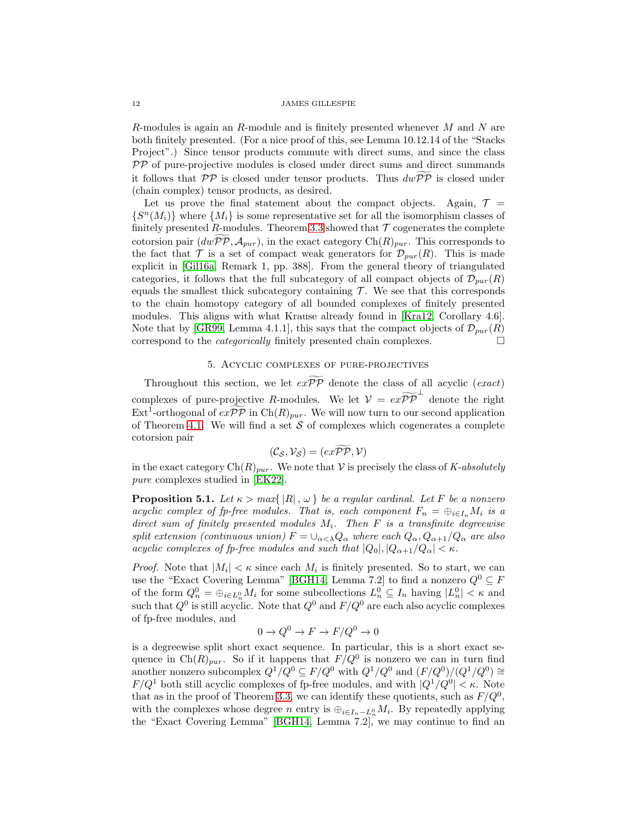R-modules is again an R-module and is finitely presented whenever  $M$  and  $N$  are both finitely presented. (For a nice proof of this, see Lemma 10.12.14 of the "Stacks Project".) Since tensor products commute with direct sums, and since the class  $PP$  of pure-projective modules is closed under direct sums and direct summands it follows that  $\mathcal{PP}$  is closed under tensor products. Thus  $dw\widetilde{PP}$  is closed under (chain complex) tensor products, as desired.

Let us prove the final statement about the compact objects. Again,  $\mathcal{T} =$  $\{S^n(M_i)\}\$  where  $\{M_i\}$  is some representative set for all the isomorphism classes of finitely presented R-modules. Theorem [3.3](#page-6-0) showed that  $\mathcal T$  cogenerates the complete cotorsion pair  $(dwPP, A_{pur})$ , in the exact category  $Ch(R)_{pur}$ . This corresponds to the fact that  $\mathcal T$  is a set of compact weak generators for  $\mathcal D_{pur}(R)$ . This is made explicit in [\[Gil16a,](#page-16-8) Remark 1, pp. 388]. From the general theory of triangulated categories, it follows that the full subcategory of all compact objects of  $\mathcal{D}_{pur}(R)$ equals the smallest thick subcategory containing  $\mathcal T$ . We see that this corresponds to the chain homotopy category of all bounded complexes of finitely presented modules. This aligns with what Krause already found in [Kra12, Corollary 4.6]. Note that by [\[GR99,](#page-16-12) Lemma 4.1.1], this says that the compact objects of  $\mathcal{D}_{pur}(R)$ correspond to the *categorically* finitely presented chain complexes.

# 5. Acyclic complexes of pure-projectives

<span id="page-11-0"></span>Throughout this section, we let  $e\widetilde{xP}P\widetilde{P}$  denote the class of all acyclic (*exact*) complexes of pure-projective R-modules. We let  $V = e^{\alpha} \widetilde{P} \widetilde{P}$  denote the right  $\text{Ext}^1$ -orthogonal of  $ex\widetilde{\mathcal{PP}}$  in  $\text{Ch}(R)_{pur}$ . We will now turn to our second application of Theorem [4.1.](#page-8-0) We will find a set  $S$  of complexes which cogenerates a complete cotorsion pair

$$
(\mathcal{C}_{\mathcal{S}},\mathcal{V}_{\mathcal{S}})=(ex\widetilde{\mathcal{PP}},\mathcal{V})
$$

in the exact category  $\text{Ch}(R)_{pur}$ . We note that V is precisely the class of *K-absolutely pure* complexes studied in [\[EK22\]](#page-16-5).

<span id="page-11-1"></span>**Proposition 5.1.** *Let*  $\kappa > max\{|R|, \omega\}$  *be a regular cardinal. Let* F *be a nonzero acyclic complex of fp-free modules. That is, each component*  $F_n = \bigoplus_{i \in I_n} M_i$  *is a direct sum of finitely presented modules* Mi*. Then* F *is a transfinite degreewise split extension (continuous union)*  $F = \bigcup_{\alpha < \lambda} Q_{\alpha}$  *where each*  $Q_{\alpha}, Q_{\alpha+1}/Q_{\alpha}$  *are also acyclic complexes of fp-free modules and such that*  $|Q_0|, |Q_{\alpha+1}/Q_{\alpha}| < \kappa$ .

*Proof.* Note that  $|M_i| < \kappa$  since each  $M_i$  is finitely presented. So to start, we can use the "Exact Covering Lemma" [\[BGH14,](#page-16-4) Lemma 7.2] to find a nonzero  $Q^0 \subseteq F$ of the form  $Q_n^0 = \bigoplus_{i \in L_n^0} M_i$  for some subcollections  $L_n^0 \subseteq I_n$  having  $|L_n^0| < \kappa$  and such that  $Q^0$  is still acyclic. Note that  $Q^0$  and  $F/Q^0$  are each also acyclic complexes of fp-free modules, and

$$
0 \to Q^0 \to F \to F/Q^0 \to 0
$$

is a degreewise split short exact sequence. In particular, this is a short exact sequence in Ch $(R)_{pur}$ . So if it happens that  $F/Q^0$  is nonzero we can in turn find another nonzero subcomplex  $Q^1/Q^0 \subseteq F/Q^0$  with  $Q^1/Q^0$  and  $(F/Q^0)/(Q^1/Q^0) \cong$  $F/Q^1$  both still acyclic complexes of fp-free modules, and with  $|Q^1/Q^0| < \kappa$ . Note that as in the proof of Theorem [3.3,](#page-6-0) we can identify these quotients, such as  $F/Q^0$ , with the complexes whose degree n entry is  $\bigoplus_{i\in I_n-L_n^0} M_i$ . By repeatedly applying the "Exact Covering Lemma" [\[BGH14,](#page-16-4) Lemma 7.2], we may continue to find an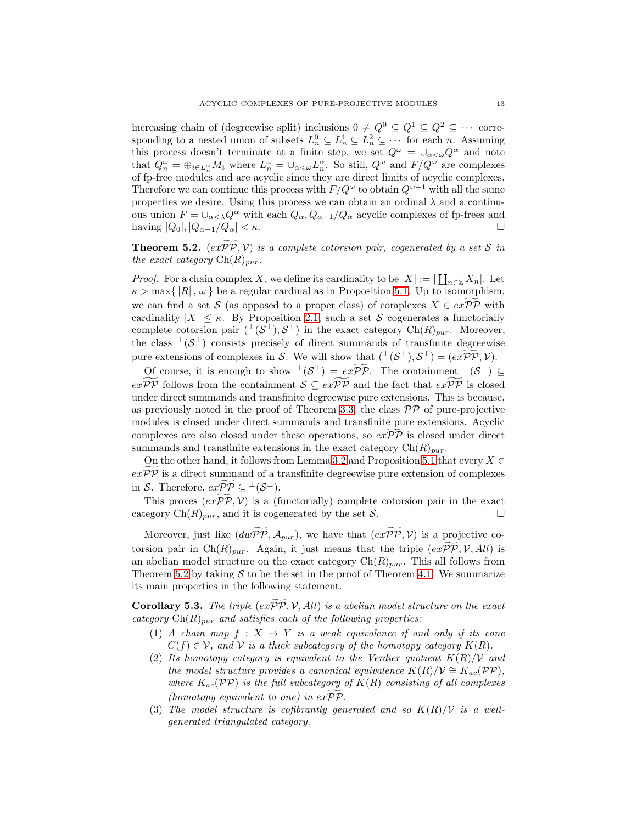increasing chain of (degreewise split) inclusions  $0 \neq Q^0 \subseteq Q^1 \subseteq Q^2 \subseteq \cdots$  corresponding to a nested union of subsets  $L_n^0 \subseteq L_n^1 \subseteq L_n^2 \subseteq \cdots$  for each n. Assuming this process doesn't terminate at a finite step, we set  $Q^{\omega} = \bigcup_{\alpha < \omega} Q^{\alpha}$  and note that  $Q_n^{\omega} = \bigoplus_{i \in L_n^{\omega}} M_i$  where  $L_n^{\omega} = \bigcup_{\alpha < \omega} L_n^{\alpha}$ . So still,  $Q^{\omega}$  and  $F/Q^{\omega}$  are complexes of fp-free modules and are acyclic since they are direct limits of acyclic complexes. Therefore we can continue this process with  $F/Q^{\omega}$  to obtain  $Q^{\omega+1}$  with all the same properties we desire. Using this process we can obtain an ordinal  $\lambda$  and a continuous union  $F = \bigcup_{\alpha < \lambda} Q^{\alpha}$  with each  $Q_{\alpha}, Q_{\alpha+1}/Q_{\alpha}$  acyclic complexes of fp-frees and having  $|Q_0|, |Q_{\alpha+1}/Q_{\alpha}| < \kappa$ .

<span id="page-12-0"></span>**Theorem 5.2.**  $(ex\widetilde{\mathcal{PP}}, \mathcal{V})$  *is a complete cotorsion pair, cogenerated by a set* S *in the exact category*  $\mathrm{Ch}(R)_{pur}$ *.* 

*Proof.* For a chain complex X, we define its cardinality to be  $|X| := |\coprod_{n \in \mathbb{Z}} X_n|$ . Let  $\kappa > \max\{|R|, \omega\}$  be a regular cardinal as in Proposition [5.1.](#page-11-1) Up to isomorphism, we can find a set S (as opposed to a proper class) of complexes  $X \in e \in \mathcal{P} \mathcal{P}$  with cardinality  $|X| \leq \kappa$ . By Proposition [2.1,](#page-4-1) such a set S cogenerates a functorially complete cotorsion pair  $({}^{\perp}(\mathcal{S}^{\perp}), \mathcal{S}^{\perp})$  in the exact category  $Ch(R)_{pur}$ . Moreover, the class  $\perp(S^{\perp})$  consists precisely of direct summands of transfinite degreewise pure extensions of complexes in S. We will show that  $({}^{\perp}(\mathcal{S}^{\perp}), \mathcal{S}^{\perp}) = (ex\mathcal{PP}, \mathcal{V})$ .

Of course, it is enough to show  $\perp(\mathcal{S}^{\perp}) = ex\overline{\mathcal{PP}}$ . The containment  $\perp(\mathcal{S}^{\perp}) \subseteq$  $exP\widetilde{P}P$  follows from the containment  $\mathcal{S} \subseteq ex\widetilde{P}P$  and the fact that  $ex\widetilde{P}PP$  is closed under direct summands and transfinite degreewise pure extensions. This is because, as previously noted in the proof of Theorem [3.3,](#page-6-0) the class  $\mathcal{PP}$  of pure-projective modules is closed under direct summands and transfinite pure extensions. Acyclic complexes are also closed under these operations, so  $e\bar{x}P\bar{P}$  is closed under direct summands and transfinite extensions in the exact category  $\text{Ch}(R)_{pur}$ .

On the other hand, it follows from Lemma [3.2](#page-5-0) and Proposition [5.1](#page-11-1) that every  $X \in$  $exP\overline{P}$  is a direct summand of a transfinite degreewise pure extension of complexes in S. Therefore,  $exPP \subseteq {}^{\perp}(\mathcal{S}^{\perp}).$ 

This proves  $(exp\mathcal{P}, \mathcal{V})$  is a (functorially) complete cotorsion pair in the exact category  $\text{Ch}(R)_{pur}$ , and it is cogenerated by the set S.

Moreover, just like  $(dw\widetilde{\mathcal{PP}}, \mathcal{A}_{pur})$ , we have that  $(ex\widetilde{\mathcal{PP}}, \mathcal{V})$  is a projective cotorsion pair in Ch $(R)_{pur}$ . Again, it just means that the triple  $(exP\widetilde{PQ}, V, All)$  is an abelian model structure on the exact category  $\text{Ch}(R)_{pur}$ . This all follows from Theorem [5.2](#page-12-0) by taking  $S$  to be the set in the proof of Theorem [4.1.](#page-8-0) We summarize its main properties in the following statement.

<span id="page-12-1"></span>**Corollary 5.3.** *The triple*  $(exP\widetilde{P}P, V, All)$  *is a abelian model structure on the exact category*  $\text{Ch}(R)_{\text{pur}}$  *and satisfies each of the following properties:* 

- (1) *A* chain map  $f : X \rightarrow Y$  is a weak equivalence if and only if its cone  $C(f) \in \mathcal{V}$ , and  $\mathcal{V}$  *is a thick subcategory of the homotopy category*  $K(R)$ *.*
- (2) Its homotopy category is equivalent to the Verdier quotient  $K(R)/V$  and *the model structure provides a canonical equivalence*  $K(R)/V \cong K_{ac}(PP)$ , *where*  $K_{ac}(\mathcal{PP})$  *is the full subcategory of*  $K(R)$  *consisting of all complexes (homotopy equivalent to one) in*  $expP$ *.*
- (3) The model structure is cofibrantly generated and so  $K(R)/V$  is a well*generated triangulated category.*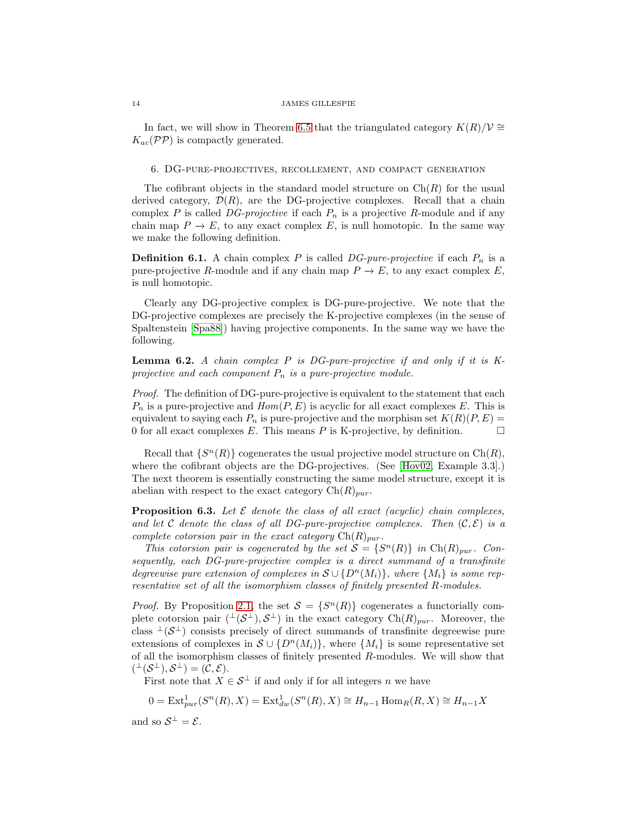In fact, we will show in Theorem [6.5](#page-14-1) that the triangulated category  $K(R)/V \cong$  $K_{ac}(\mathcal{PP})$  is compactly generated.

# <span id="page-13-0"></span>6. DG-pure-projectives, recollement, and compact generation

The cofibrant objects in the standard model structure on  $\text{Ch}(R)$  for the usual derived category,  $\mathcal{D}(R)$ , are the DG-projective complexes. Recall that a chain complex  $P$  is called  $DG\text{-}projective$  if each  $P_n$  is a projective  $R\text{-module}$  and if any chain map  $P \to E$ , to any exact complex E, is null homotopic. In the same way we make the following definition.

**Definition 6.1.** A chain complex P is called  $DG-pure-projective$  if each  $P_n$  is a pure-projective R-module and if any chain map  $P \to E$ , to any exact complex E, is null homotopic.

Clearly any DG-projective complex is DG-pure-projective. We note that the DG-projective complexes are precisely the K-projective complexes (in the sense of Spaltenstein [\[Spa88\]](#page-17-0)) having projective components. In the same way we have the following.

<span id="page-13-2"></span>Lemma 6.2. *A chain complex* P *is DG-pure-projective if and only if it is K*projective and each component  $P_n$  is a pure-projective module.

*Proof.* The definition of DG-pure-projective is equivalent to the statement that each  $P_n$  is a pure-projective and  $Hom(P, E)$  is acyclic for all exact complexes E. This is equivalent to saying each  $P_n$  is pure-projective and the morphism set  $K(R)(P, E)$  = 0 for all exact complexes  $E$ . This means  $P$  is K-projective, by definition.

Recall that  $\{S^n(R)\}$  cogenerates the usual projective model structure on  $\text{Ch}(R)$ , where the cofibrant objects are the DG-projectives. (See [\[Hov02,](#page-16-6) Example 3.3].) The next theorem is essentially constructing the same model structure, except it is abelian with respect to the exact category  $\text{Ch}(R)_{pur}$ .

<span id="page-13-1"></span>**Proposition 6.3.** Let  $\mathcal E$  denote the class of all exact (acyclic) chain complexes, *and let* C *denote the class of all DG-pure-projective complexes. Then*  $(C, \mathcal{E})$  *is a complete cotorsion pair in the exact category*  $\text{Ch}(R)_{pur}$ *.* 

*This cotorsion pair is cogenerated by the set*  $S = \{S^n(R)\}\$ in Ch $(R)_{pur}$ . Con*sequently, each DG-pure-projective complex is a direct summand of a transfinite degreewise pure extension of complexes in*  $S \cup \{D^n(M_i)\}\$ *, where*  $\{M_i\}$  *is some representative set of all the isomorphism classes of finitely presented* R*-modules.*

*Proof.* By Proposition [2.1,](#page-4-1) the set  $S = \{S^n(R)\}\$  cogenerates a functorially complete cotorsion pair  $({}^{\perp}(\mathcal{S}^{\perp}), \mathcal{S}^{\perp})$  in the exact category  $Ch(R)_{pur}$ . Moreover, the class  $\perp(S^{\perp})$  consists precisely of direct summands of transfinite degreewise pure extensions of complexes in  $S \cup \{D^n(M_i)\}\$ , where  $\{M_i\}$  is some representative set of all the isomorphism classes of finitely presented R-modules. We will show that  $({}^{\perp}(\mathcal{S}^{\perp}), \mathcal{S}^{\perp}) = (\mathcal{C}, \mathcal{E}).$ 

First note that  $X \in \mathcal{S}^{\perp}$  if and only if for all integers n we have

$$
0 = \text{Ext}^1_{pur}(S^n(R), X) = \text{Ext}^1_{dw}(S^n(R), X) \cong H_{n-1} \text{Hom}_R(R, X) \cong H_{n-1} X
$$

and so  $S^{\perp} = \mathcal{E}$ .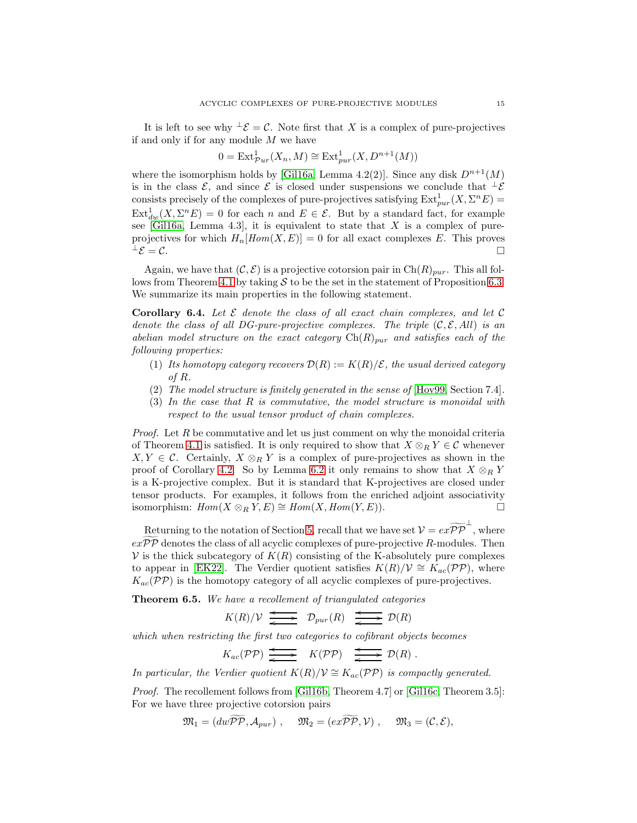It is left to see why  $\pm \mathcal{E} = \mathcal{C}$ . Note first that X is a complex of pure-projectives if and only if for any module  $M$  we have

$$
0 = \text{Ext}^1_{\mathcal{P}ur}(X_n, M) \cong \text{Ext}^1_{pur}(X, D^{n+1}(M))
$$

where the isomorphism holds by [\[Gil16a,](#page-16-8) Lemma 4.2(2)]. Since any disk  $D^{n+1}(M)$ is in the class  $\mathcal{E}$ , and since  $\mathcal{E}$  is closed under suspensions we conclude that  $\perp \mathcal{E}$ consists precisely of the complexes of pure-projectives satisfying  $\text{Ext}^1_{pur}(X, \Sigma^n E)$  $\text{Ext}^1_{dw}(X,\Sigma^n E) = 0$  for each n and  $E \in \mathcal{E}$ . But by a standard fact, for example see [\[Gil16a,](#page-16-8) Lemma 4.3], it is equivalent to state that  $X$  is a complex of pureprojectives for which  $H_n[Hom(X, E)] = 0$  for all exact complexes E. This proves  $\perp \mathcal{E} = \mathcal{C}$ .  $\bot \mathcal{E} = \mathcal{C}.$ 

Again, we have that  $(C, \mathcal{E})$  is a projective cotorsion pair in  $Ch(R)_{pur}$ . This all fol-lows from Theorem [4.1](#page-8-0) by taking  $S$  to be the set in the statement of Proposition [6.3.](#page-13-1) We summarize its main properties in the following statement.

<span id="page-14-0"></span>Corollary 6.4. *Let* E *denote the class of all exact chain complexes, and let* C *denote the class of all DG-pure-projective complexes. The triple*  $(C, \mathcal{E}, All)$  *is an abelian model structure on the exact category*  $\text{Ch}(R)_{pur}$  *and satisfies each of the following properties:*

- (1) Its homotopy category recovers  $\mathcal{D}(R) := K(R)/\mathcal{E}$ , the usual derived category *of* R*.*
- (2) *The model structure is finitely generated in the sense of* [\[Hov99,](#page-16-19) Section 7.4]*.*
- (3) *In the case that* R *is commutative, the model structure is monoidal with respect to the usual tensor product of chain complexes.*

*Proof.* Let R be commutative and let us just comment on why the monoidal criteria of Theorem [4.1](#page-8-0) is satisfied. It is only required to show that  $X \otimes_R Y \in \mathcal{C}$  whenever  $X, Y \in \mathcal{C}$ . Certainly,  $X \otimes_R Y$  is a complex of pure-projectives as shown in the proof of Corollary [4.2.](#page-10-0) So by Lemma [6.2](#page-13-2) it only remains to show that  $X \otimes_R Y$ is a K-projective complex. But it is standard that K-projectives are closed under tensor products. For examples, it follows from the enriched adjoint associativity isomorphism:  $Hom(X \otimes_R Y, E) \cong Hom(X, Hom(Y, E)).$ 

Returning to the notation of Section [5,](#page-11-0) recall that we have set  $\mathcal{V} = e x \widetilde{\mathcal{P} \mathcal{P}}^{\perp}$ , where  $e^{i\theta}P\overline{P}$  denotes the class of all acyclic complexes of pure-projective R-modules. Then  $V$  is the thick subcategory of  $K(R)$  consisting of the K-absolutely pure complexes to appear in [\[EK22\]](#page-16-5). The Verdier quotient satisfies  $K(R)/V \cong K_{ac}(PP)$ , where  $K_{ac}(\mathcal{PP})$  is the homotopy category of all acyclic complexes of pure-projectives.

<span id="page-14-1"></span>Theorem 6.5. *We have a recollement of triangulated categories*

 $K(R)/\mathcal{V} \xrightarrow{\longleftarrow} \mathcal{D}_{pur}(R) \xrightarrow{\longleftarrow} \mathcal{D}(R)$ o

*which when restricting the first two categories to cofibrant objects becomes*

$$
K_{ac}(\mathcal{PP}) \xrightarrow{\longleftarrow} K(\mathcal{PP}) \xrightarrow{\longleftarrow} \mathcal{D}(R).
$$

*In particular, the Verdier quotient*  $K(R)/V \cong K_{ac}(PP)$  *is compactly generated.* 

*Proof.* The recollement follows from [\[Gil16b,](#page-16-7) Theorem 4.7] or [\[Gil16c,](#page-16-21) Theorem 3.5]: For we have three projective cotorsion pairs

$$
\mathfrak{M}_1 = (dw \widetilde{\mathcal{PP}}, \mathcal{A}_{pur}), \quad \mathfrak{M}_2 = (ex \widetilde{\mathcal{PP}}, \mathcal{V}), \quad \mathfrak{M}_3 = (\mathcal{C}, \mathcal{E}),
$$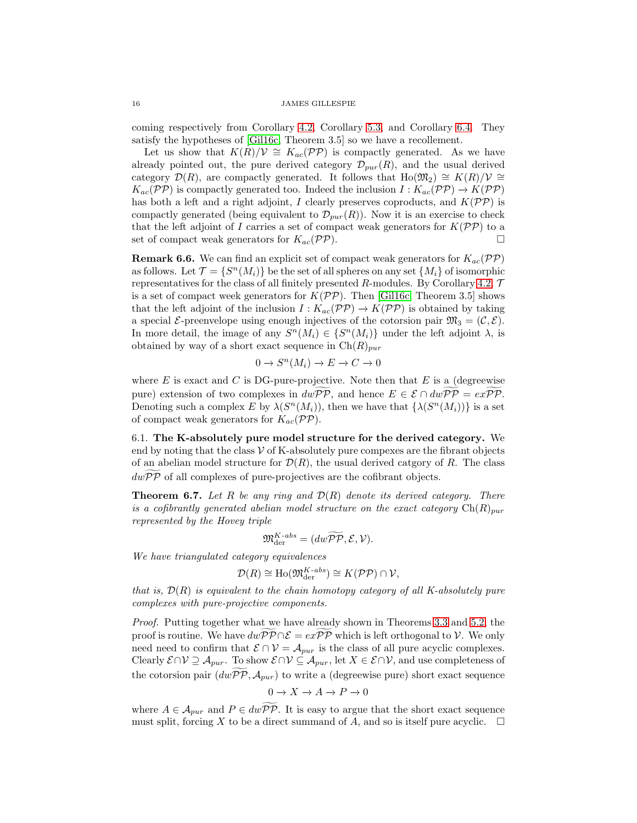coming respectively from Corollary [4.2,](#page-10-0) Corollary [5.3,](#page-12-1) and Corollary [6.4.](#page-14-0) They satisfy the hypotheses of [\[Gil16c,](#page-16-21) Theorem 3.5] so we have a recollement.

Let us show that  $K(R)/V \cong K_{ac}(\mathcal{PP})$  is compactly generated. As we have already pointed out, the pure derived category  $\mathcal{D}_{pur}(R)$ , and the usual derived category  $\mathcal{D}(R)$ , are compactly generated. It follows that Ho( $\mathfrak{M}_2$ ) ≅  $K(R)/\mathcal{V}$  ≅  $K_{ac}(\mathcal{PP})$  is compactly generated too. Indeed the inclusion  $I: K_{ac}(\mathcal{PP}) \to K(\mathcal{PP})$ has both a left and a right adjoint, I clearly preserves coproducts, and  $K(\mathcal{PP})$  is compactly generated (being equivalent to  $\mathcal{D}_{pur}(R)$ ). Now it is an exercise to check that the left adjoint of I carries a set of compact weak generators for  $K(\mathcal{PP})$  to a set of compact weak generators for  $K_{ac}(\mathcal{PP})$ .

**Remark 6.6.** We can find an explicit set of compact weak generators for  $K_{ac}(\mathcal{PP})$ as follows. Let  $\mathcal{T} = \{S^n(M_i)\}\$ be the set of all spheres on any set  $\{M_i\}$  of isomorphic representatives for the class of all finitely presented R-modules. By Corollary [4.2,](#page-10-0)  $\mathcal T$ is a set of compact week generators for  $K(\mathcal{PP})$ . Then [\[Gil16c,](#page-16-21) Theorem 3.5] shows that the left adjoint of the inclusion  $I: K_{ac}(\mathcal{PP}) \to K(\mathcal{PP})$  is obtained by taking a special *E*-preenvelope using enough injectives of the cotorsion pair  $\mathfrak{M}_3 = (\mathcal{C}, \mathcal{E})$ . In more detail, the image of any  $S^n(M_i) \in \{S^n(M_i)\}\$ under the left adjoint  $\lambda$ , is obtained by way of a short exact sequence in  $\text{Ch}(R)_{pur}$ 

$$
0 \to S^n(M_i) \to E \to C \to 0
$$

where E is exact and C is DG-pure-projective. Note then that E is a (degreewise pure) extension of two complexes in  $dw\widetilde{\mathcal{PP}}$ , and hence  $E \in \mathcal{E} \cap dw\widetilde{\mathcal{PP}} = ex\widetilde{\mathcal{PP}}$ . Denoting such a complex E by  $\lambda(S^n(M_i))$ , then we have that  $\{\lambda(S^n(M_i))\}$  is a set of compact weak generators for  $K_{ac}(\mathcal{PP})$ .

6.1. The K-absolutely pure model structure for the derived category. We end by noting that the class  $V$  of K-absolutely pure compexes are the fibrant objects of an abelian model structure for  $\mathcal{D}(R)$ , the usual derived catgory of R. The class  $dwPP$  of all complexes of pure-projectives are the cofibrant objects.

<span id="page-15-0"></span>Theorem 6.7. *Let* R *be any ring and* D(R) *denote its derived category. There is a cofibrantly generated abelian model structure on the exact category*  $Ch(R)_{pur}$ *represented by the Hovey triple*

$$
\mathfrak{M}_{\mathrm{der}}^{K\text{-}abs}=(dw\widetilde{\mathcal{PP}},\mathcal{E},\mathcal{V}).
$$

*We have triangulated category equivalences*

$$
\mathcal{D}(R) \cong \text{Ho}(\mathfrak{M}_{\text{der}}^{K\text{-}abs}) \cong K(\mathcal{PP}) \cap \mathcal{V},
$$

*that is,* D(R) *is equivalent to the chain homotopy category of all K-absolutely pure complexes with pure-projective components.*

*Proof.* Putting together what we have already shown in Theorems [3.3](#page-6-0) and [5.2,](#page-12-0) the proof is routine. We have  $dwPP \cap \mathcal{E} = exPP$  which is left orthogonal to V. We only need need to confirm that  $\mathcal{E} \cap \mathcal{V} = \mathcal{A}_{pur}$  is the class of all pure acyclic complexes. Clearly  $\mathcal{E} \cap \mathcal{V} \supseteq \mathcal{A}_{pur}$ . To show  $\mathcal{E} \cap \mathcal{V} \subseteq \mathcal{A}_{pur}$ , let  $X \in \mathcal{E} \cap \mathcal{V}$ , and use completeness of the cotorsion pair  $(d\tilde{\omega P\tilde{P}}, A_{pur})$  to write a (degreewise pure) short exact sequence

$$
0 \to X \to A \to P \to 0
$$

where  $A \in \mathcal{A}_{pur}$  and  $P \in dw\overline{PP}$ . It is easy to argue that the short exact sequence must split, forcing X to be a direct summand of A, and so is itself pure acyclic.  $\Box$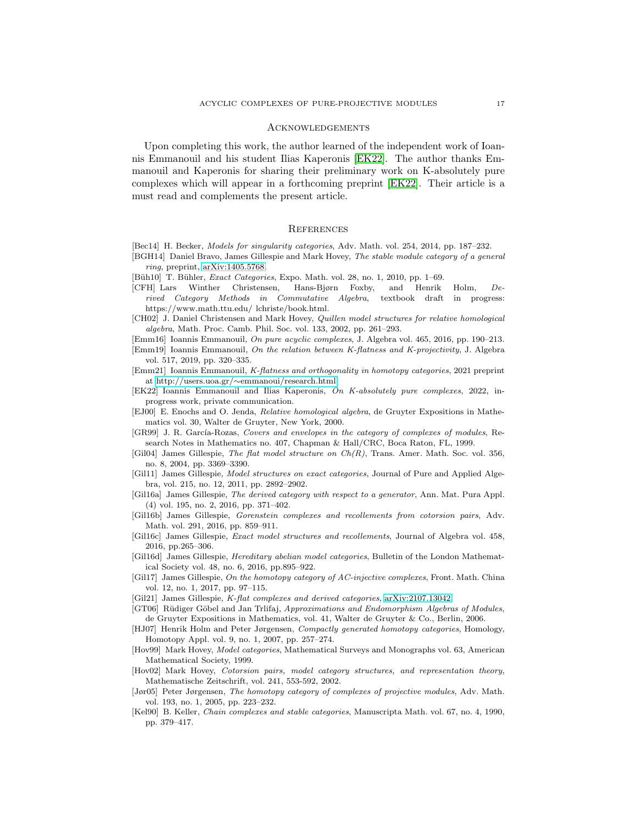### Acknowledgements

Upon completing this work, the author learned of the independent work of Ioannis Emmanouil and his student Ilias Kaperonis [\[EK22\]](#page-16-5). The author thanks Emmanouil and Kaperonis for sharing their preliminary work on K-absolutely pure complexes which will appear in a forthcoming preprint [\[EK22\]](#page-16-5). Their article is a must read and complements the present article.

### **REFERENCES**

- <span id="page-16-10"></span>[Bec14] H. Becker, Models for singularity categories, Adv. Math. vol. 254, 2014, pp. 187–232.
- <span id="page-16-4"></span>[BGH14] Daniel Bravo, James Gillespie and Mark Hovey, The stable module category of a general  $rina.$  preprint,  $arXiv:1405.5768$ .
- [Büh10] T. Bühler, *Exact Categories*, Expo. Math. vol. 28, no. 1, 2010, pp. 1–69.
- <span id="page-16-13"></span>[CFH] Lars Winther Christensen, Hans-Bjørn Foxby, and Henrik Holm, Derived Category Methods in Commutative Algebra, textbook draft in progress: https://www.math.ttu.edu/ lchriste/book.html.
- [CH02] J. Daniel Christensen and Mark Hovey, Quillen model structures for relative homological algebra, Math. Proc. Camb. Phil. Soc. vol. 133, 2002, pp. 261–293.
- <span id="page-16-2"></span>[Emm16] Ioannis Emmanouil, On pure acyclic complexes, J. Algebra vol. 465, 2016, pp. 190–213.
- <span id="page-16-3"></span>[Emm19] Ioannis Emmanouil, On the relation between K-flatness and K-projectivity, J. Algebra vol. 517, 2019, pp. 320–335.
- <span id="page-16-1"></span>[Emm21] Ioannis Emmanouil, K-flatness and orthogonality in homotopy categories, 2021 preprint at http://users.uoa.gr/∼[emmanoui/research.html.](http://users.uoa.gr/~emmanoui/research.html)
- <span id="page-16-5"></span>[EK22] Ioannis Emmanouil and Ilias Kaperonis, On K-absolutely pure complexes, 2022, inprogress work, private communication.
- <span id="page-16-14"></span>[EJ00] E. Enochs and O. Jenda, Relative homological algebra, de Gruyter Expositions in Mathematics vol. 30, Walter de Gruyter, New York, 2000.
- <span id="page-16-12"></span>[GR99] J. R. García-Rozas, Covers and envelopes in the category of complexes of modules, Research Notes in Mathematics no. 407, Chapman & Hall/CRC, Boca Raton, FL, 1999.
- <span id="page-16-18"></span>[Gil04] James Gillespie, The flat model structure on  $Ch(R)$ , Trans. Amer. Math. Soc. vol. 356, no. 8, 2004, pp. 3369–3390.
- [Gil11] James Gillespie, Model structures on exact categories, Journal of Pure and Applied Algebra, vol. 215, no. 12, 2011, pp. 2892–2902.
- <span id="page-16-8"></span>[Gil16a] James Gillespie, The derived category with respect to a generator, Ann. Mat. Pura Appl. (4) vol. 195, no. 2, 2016, pp. 371–402.
- <span id="page-16-7"></span>[Gil16b] James Gillespie, Gorenstein complexes and recollements from cotorsion pairs, Adv. Math. vol. 291, 2016, pp. 859–911.
- <span id="page-16-21"></span>[Gil16c] James Gillespie, Exact model structures and recollements, Journal of Algebra vol. 458, 2016, pp.265–306.
- <span id="page-16-16"></span>[Gil16d] James Gillespie, Hereditary abelian model categories, Bulletin of the London Mathematical Society vol. 48, no. 6, 2016, pp.895–922.
- <span id="page-16-20"></span>[Gil17] James Gillespie, On the homotopy category of AC-injective complexes, Front. Math. China vol. 12, no. 1, 2017, pp. 97–115.
- <span id="page-16-0"></span>[Gil21] James Gillespie, K-flat complexes and derived categories, [arXiv:2107.13042](http://arxiv.org/abs/2107.13042)
- <span id="page-16-15"></span>[GT06] Rüdiger Göbel and Jan Trlifaj, Approximations and Endomorphism Algebras of Modules, de Gruyter Expositions in Mathematics, vol. 41, Walter de Gruyter & Co., Berlin, 2006.
- <span id="page-16-11"></span>[HJ07] Henrik Holm and Peter Jørgensen, Compactly generated homotopy categories, Homology, Homotopy Appl. vol. 9, no. 1, 2007, pp. 257–274.
- <span id="page-16-19"></span>[Hov99] Mark Hovey, Model categories, Mathematical Surveys and Monographs vol. 63, American Mathematical Society, 1999.
- <span id="page-16-6"></span>[Hov02] Mark Hovey, Cotorsion pairs, model category structures, and representation theory, Mathematische Zeitschrift, vol. 241, 553-592, 2002.
- <span id="page-16-9"></span>[Jør05] Peter Jørgensen, The homotopy category of complexes of projective modules, Adv. Math. vol. 193, no. 1, 2005, pp. 223–232.
- <span id="page-16-17"></span>[Kel90] B. Keller, Chain complexes and stable categories, Manuscripta Math. vol. 67, no. 4, 1990, pp. 379–417.